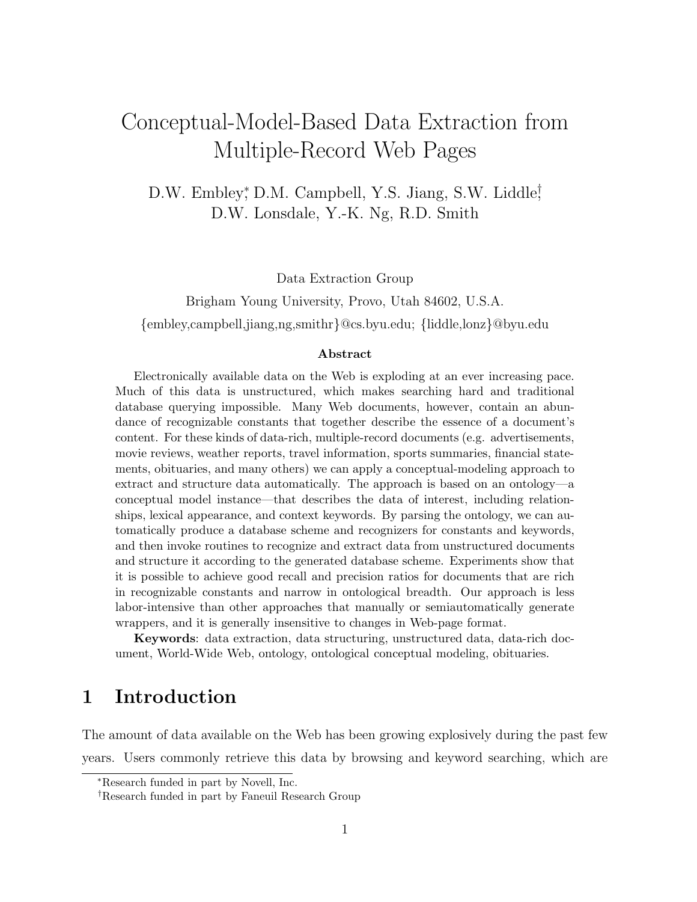# Conceptual-Model-Based Data Extraction from Multiple-Record Web Pages

D.W. Embley<sup>\*</sup>, D.M. Campbell, Y.S. Jiang, S.W. Liddle<sup>†</sup> D.W. Lonsdale, Y.-K. Ng, R.D. Smith

Data Extraction Group

Brigham Young University, Provo, Utah 84602, U.S.A. {embley,campbell,jiang,ng,smithr}@cs.byu.edu; {liddle,lonz}@byu.edu

#### **Abstract**

Electronically available data on the Web is exploding at an ever increasing pace. Much of this data is unstructured, which makes searching hard and traditional database querying impossible. Many Web documents, however, contain an abundance of recognizable constants that together describe the essence of a document's content. For these kinds of data-rich, multiple-record documents (e.g. advertisements, movie reviews, weather reports, travel information, sports summaries, financial statements, obituaries, and many others) we can apply a conceptual-modeling approach to extract and structure data automatically. The approach is based on an ontology—a conceptual model instance—that describes the data of interest, including relationships, lexical appearance, and context keywords. By parsing the ontology, we can automatically produce a database scheme and recognizers for constants and keywords, and then invoke routines to recognize and extract data from unstructured documents and structure it according to the generated database scheme. Experiments show that it is possible to achieve good recall and precision ratios for documents that are rich in recognizable constants and narrow in ontological breadth. Our approach is less labor-intensive than other approaches that manually or semiautomatically generate wrappers, and it is generally insensitive to changes in Web-page format.

**Keywords**: data extraction, data structuring, unstructured data, data-rich document, World-Wide Web, ontology, ontological conceptual modeling, obituaries.

# **1 Introduction**

The amount of data available on the Web has been growing explosively during the past few years. Users commonly retrieve this data by browsing and keyword searching, which are

<sup>∗</sup>Research funded in part by Novell, Inc.

<sup>†</sup>Research funded in part by Faneuil Research Group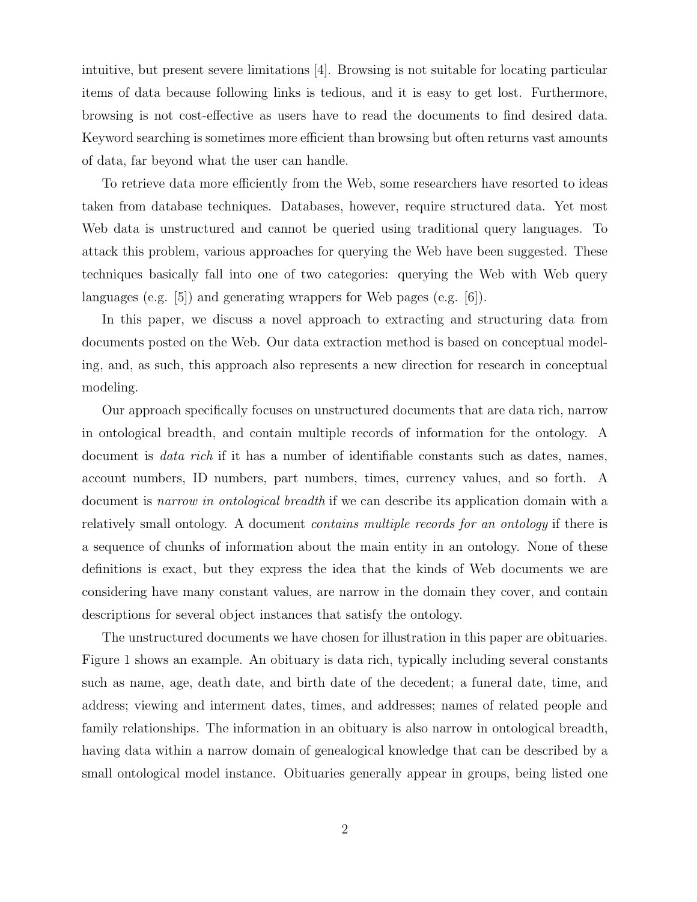intuitive, but present severe limitations [4]. Browsing is not suitable for locating particular items of data because following links is tedious, and it is easy to get lost. Furthermore, browsing is not cost-effective as users have to read the documents to find desired data. Keyword searching is sometimes more efficient than browsing but often returns vast amounts of data, farbeyond what the usercan handle.

To retrieve data more efficiently from the Web, some researchers have resorted to ideas taken from database techniques. Databases, however, require structured data. Yet most Web data is unstructured and cannot be queried using traditional query languages. To attack this problem, various approaches for querying the Web have been suggested. These techniques basically fall into one of two categories: querying the Web with Web query languages (e.g. [5]) and generating wrappers for Web pages (e.g. [6]).

In this paper, we discuss a novel approach to extracting and structuring data from documents posted on the Web. Our data extraction method is based on conceptual modeling, and, as such, this approach also represents a new direction for research in conceptual modeling.

Our approach specifically focuses on unstructured documents that are data rich, narrow in ontological breadth, and contain multiple records of information for the ontology. A document is *data rich* if it has a number of identifiable constants such as dates, names, account numbers, ID numbers, part numbers, times, currency values, and so forth. A document is *narrow in ontological breadth* if we can describe its application domain with a relatively small ontology. A document *contains multiple records for an ontology* if there is a sequence of chunks of information about the main entity in an ontology. None of these definitions is exact, but they express the idea that the kinds of Web documents we are considering have many constant values, are narrow in the domain they cover, and contain descriptions for several object instances that satisfy the ontology.

The unstructured documents we have chosen for illustration in this paper are obituaries. Figure 1 shows an example. An obituary is data rich, typically including several constants such as name, age, death date, and birth date of the decedent; a funeral date, time, and address; viewing and interment dates, times, and addresses; names of related people and family relationships. The information in an obituary is also narrow in ontological breadth, having data within a narrow domain of genealogical knowledge that can be described by a small ontological model instance. Obituaries generally appear in groups, being listed one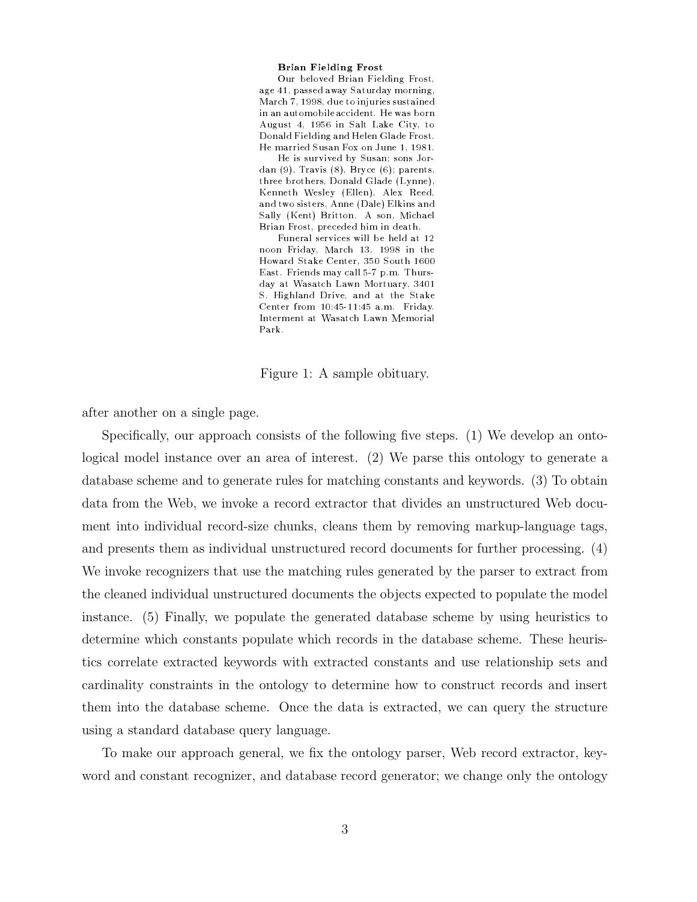#### Brian Fielding Frost

Our beloved Brian Fielding Frost, age 41, passed away Saturday morning, March 7, 1998, due to injuries sustained in an automobile accident. He was born August 4, 1956 in Salt Lake City, to Donald Fielding and Helen Glade Frost. He married Susan Fox on June 1, 1981.

He is survived by Susan; sons Jordan (9), Travis (8), Bryce (6); parents, three brothers, Donald Glade (Lynne), Kenneth Wesley (Ellen), Alex Reed, and two sisters, Anne (Dale) Elkins and Sally (Kent) Britton. A son, Michael Brian Frost, preceded him in death.

Funeral services will be held at 12 noon Friday, March 13, 1998 in the Howard Stake Center, 350 South 1600 East. Friends may call 5-7 p.m. Thurs day at Wasatch Lawn Mortuary, 3401 S. Highland Drive, and at the Stake Center from 10:45-11:45 a.m. Friday. Interment at Wasatch Lawn Memorial  $P_{\rm ark}$ 

Figure 1: A sample obituary.

after another on a single page.

Specifically, our approach consists of the following five steps. (1) We develop an ontological model instance over an area of interest. (2) We parse this ontology to generate a database scheme and to generate rules for matching constants and keywords. (3) To obtain data from the Web, we invoke a record extractor that divides an unstructured Web document into individual record-size chunks, cleans them by removing markup-language tags, and presents them as individual unstructured record documents for further processing. (4) We invoke recognizers that use the matching rules generated by the parser to extract from the cleaned individual unstructured documents the objects expected to populate the model instance. (5) Finally, we populate the generated database scheme by using heuristics to determine which constants populate which records in the database scheme. These heuristics correlate extracted keywords with extracted constants and use relationship sets and cardinality constraints in the ontology to determine how to construct records and insert them into the database scheme. Once the data is extracted, we can query the structure using a standard database query language.

To make our approach general, we fix the ontology parser, Web record extractor, keyword and constant recognizer, and database record generator; we change only the ontology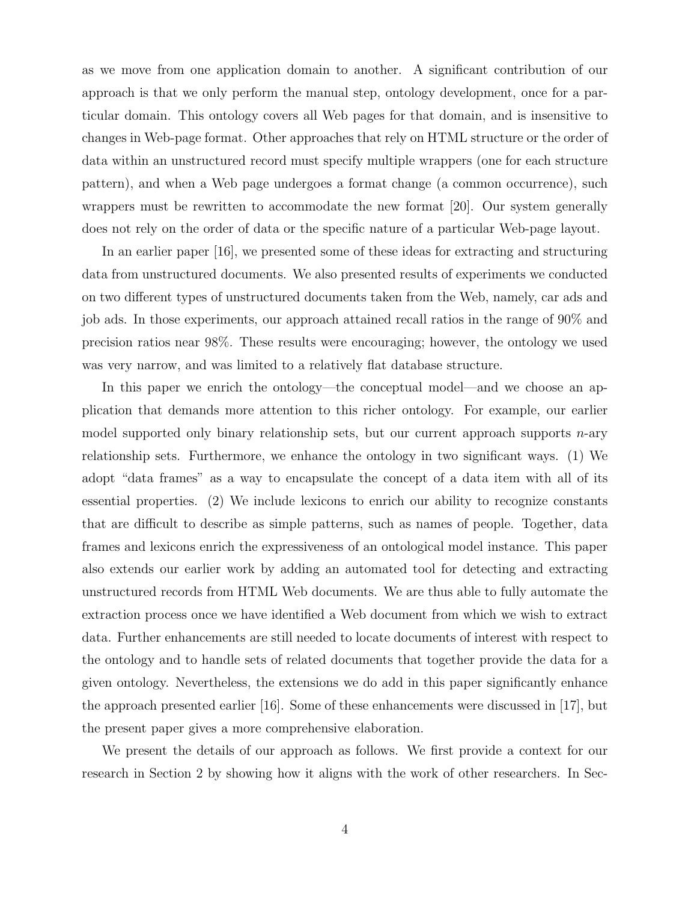as we move from one application domain to another. A significant contribution of our approach is that we only perform the manual step, ontology development, once for a particular domain. This ontology covers all Web pages for that domain, and is insensitive to changes in Web-page format. Other approaches that rely on HTML structure or the order of data within an unstructured record must specify multiple wrappers (one for each structure pattern), and when a Web page undergoes a format change (a common occurrence), such wrappers must be rewritten to accommodate the new format [20]. Our system generally does not rely on the order of data or the specific nature of a particular Web-page layout.

In an earlier paper [16], we presented some of these ideas for extracting and structuring data from unstructured documents. We also presented results of experiments we conducted on two different types of unstructured documents taken from the Web, namely, car ads and job ads. In those experiments, our approach attained recall ratios in the range of 90% and precision ratios near 98%. These results were encouraging; however, the ontology we used was very narrow, and was limited to a relatively flat database structure.

In this paper we enrich the ontology—the conceptual model—and we choose an application that demands more attention to this richer ontology. For example, our earlier model supported only binary relationship sets, but our current approach supports *n*-ary relationship sets. Furthermore, we enhance the ontology in two significant ways. (1) We adopt "data frames" as a way to encapsulate the concept of a data item with all of its essential properties. (2) We include lexicons to enrich our ability to recognize constants that are difficult to describe as simple patterns, such as names of people. Together, data frames and lexicons enrich the expressiveness of an ontological model instance. This paper also extends our earlier work by adding an automated tool for detecting and extracting unstructured records from HTML Web documents. We are thus able to fully automate the extraction process once we have identified a Web document from which we wish to extract data. Further enhancements are still needed to locate documents of interest with respect to the ontology and to handle sets of related documents that together provide the data for a given ontology. Nevertheless, the extensions we do add in this paper significantly enhance the approach presented earlier  $|16|$ . Some of these enhancements were discussed in  $|17|$ , but the present paper gives a more comprehensive elaboration.

We present the details of our approach as follows. We first provide a context for our research in Section 2 by showing how it aligns with the work of other researchers. In Sec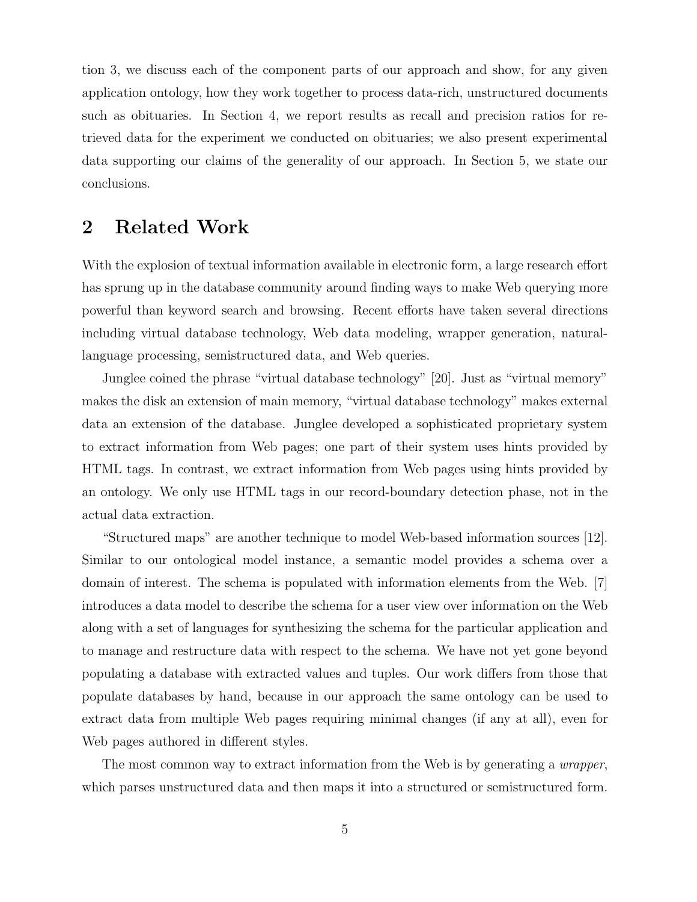tion 3, we discuss each of the component parts of our approach and show, for any given application ontology, how they work together to process data-rich, unstructured documents such as obituaries. In Section 4, we report results as recall and precision ratios for retrieved data for the experiment we conducted on obituaries; we also present experimental data supporting our claims of the generality of our approach. In Section 5, we state our conclusions.

### **2 Related Work**

With the explosion of textual information available in electronic form, a large research effort has sprung up in the database community around finding ways to make Web querying more powerful than keyword search and browsing. Recent efforts have taken several directions including virtual database technology, Web data modeling, wrapper generation, naturallanguage processing, semistructured data, and Web queries.

Junglee coined the phrase "virtual database technology" [20]. Just as "virtual memory" makes the disk an extension of main memory, "virtual database technology" makes external data an extension of the database. Junglee developed a sophisticated proprietary system to extract information from Web pages; one part of their system uses hints provided by HTML tags. In contrast, we extract information from Web pages using hints provided by an ontology. We only use HTML tags in our record-boundary detection phase, not in the actual data extraction.

"Structured maps" are another technique to model Web-based information sources [12]. Similar to our ontological model instance, a semantic model provides a schema over a domain of interest. The schema is populated with information elements from the Web. [7] introduces a data model to describe the schema for a user view over information on the Web along with a set of languages for synthesizing the schema for the particular application and to manage and restructure data with respect to the schema. We have not yet gone beyond populating a database with extracted values and tuples. Our work differs from those that populate databases by hand, because in ourapproach the same ontology can be used to extract data from multiple Web pages requiring minimal changes (if any at all), even for Web pages authored in different styles.

The most common way to extract information from the Web is by generating a *wrapper*, which parses unstructured data and then maps it into a structured or semistructured form.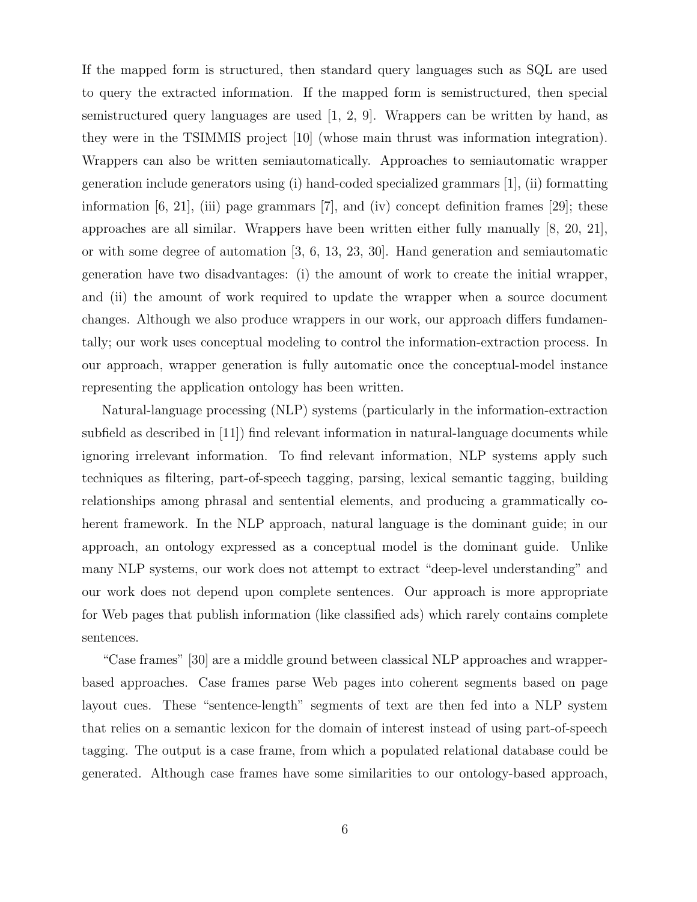If the mapped form is structured, then standard query languages such as SQL are used to query the extracted information. If the mapped form is semistructured, then special semistructured query languages are used [1, 2, 9]. Wrappers can be written by hand, as they were in the TSIMMIS project [10] (whose main thrust was information integration). Wrappers can also be written semiautomatically. Approaches to semiautomatic wrapper generation include generators using (i) hand-coded specialized grammars [1], (ii) formatting information [6, 21], (iii) page grammars [7], and (iv) concept definition frames [29]; these approaches are all similar. Wrappers have been written either fully manually [8, 20, 21], or with some degree of automation [3, 6, 13, 23, 30]. Hand generation and semiautomatic generation have two disadvantages: (i) the amount of work to create the initial wrapper, and (ii) the amount of work required to update the wrapper when a source document changes. Although we also produce wrappers in our work, our approach differs fundamentally; our work uses conceptual modeling to control the information-extraction process. In our approach, wrapper generation is fully automatic once the conceptual-model instance representing the application ontology has been written.

Natural-language processing (NLP) systems (particularly in the information-extraction subfield as described in [11]) find relevant information in natural-language documents while ignoring irrelevant information. To find relevant information, NLP systems apply such techniques as filtering, part-of-speech tagging, parsing, lexical semantic tagging, building relationships among phrasal and sentential elements, and producing a grammatically coherent framework. In the NLP approach, natural language is the dominant guide; in our approach, an ontology expressed as a conceptual model is the dominant guide. Unlike many NLP systems, our work does not attempt to extract "deep-level understanding" and our work does not depend upon complete sentences. Our approach is more appropriate for Web pages that publish information (like classified ads) which rarely contains complete sentences.

"Case frames" [30] are a middle ground between classical NLP approaches and wrapperbased approaches. Case frames parse Web pages into coherent segments based on page layout cues. These "sentence-length" segments of text are then fed into a NLP system that relies on a semantic lexicon for the domain of interest instead of using part-of-speech tagging. The output is a case frame, from which a populated relational database could be generated. Although case frames have some similarities to our ontology-based approach,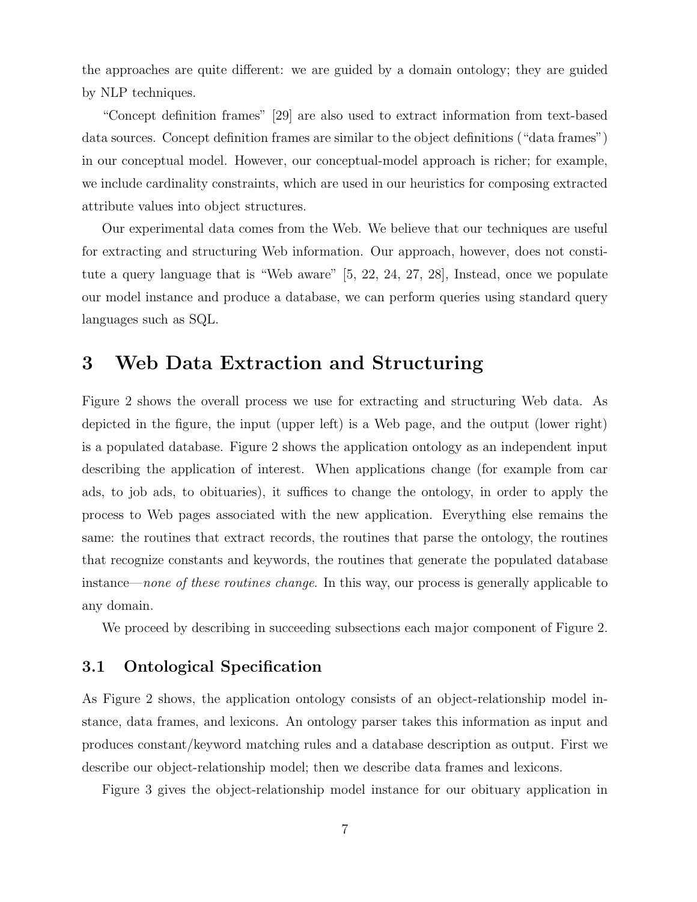the approaches are quite different: we are guided by a domain ontology; they are guided by NLP techniques.

"Concept definition frames" [29] are also used to extract information from text-based data sources. Concept definition frames are similar to the object definitions ("data frames") in our conceptual model. However, our conceptual-model approach is richer; for example, we include cardinality constraints, which are used in our heuristics for composing extracted attribute values into object structures.

Our experimental data comes from the Web. We believe that our techniques are useful for extracting and structuring Web information. Our approach, however, does not constitute a query language that is "Web aware" [5, 22, 24, 27, 28], Instead, once we populate our model instance and produce a database, we can perform queries using standard query languages such as SQL.

### **3 Web Data Extraction and Structuring**

Figure 2 shows the overall process we use for extracting and structuring Web data. As depicted in the figure, the input (upper left) is a Web page, and the output (lower right) is a populated database. Figure 2 shows the application ontology as an independent input describing the application of interest. When applications change (for example from car ads, to job ads, to obituaries), it suffices to change the ontology, in order to apply the process to Web pages associated with the new application. Everything else remains the same: the routines that extract records, the routines that parse the ontology, the routines that recognize constants and keywords, the routines that generate the populated database instance—*none of these routines change*. In this way, our process is generally applicable to any domain.

We proceed by describing in succeeding subsections each major component of Figure 2.

### **3.1 Ontological Specification**

As Figure 2 shows, the application ontology consists of an object-relationship model instance, data frames, and lexicons. An ontology parser takes this information as input and produces constant/keyword matching rules and a database description as output. First we describe our object-relationship model; then we describe data frames and lexicons.

Figure 3 gives the object-relationship model instance for our obituary application in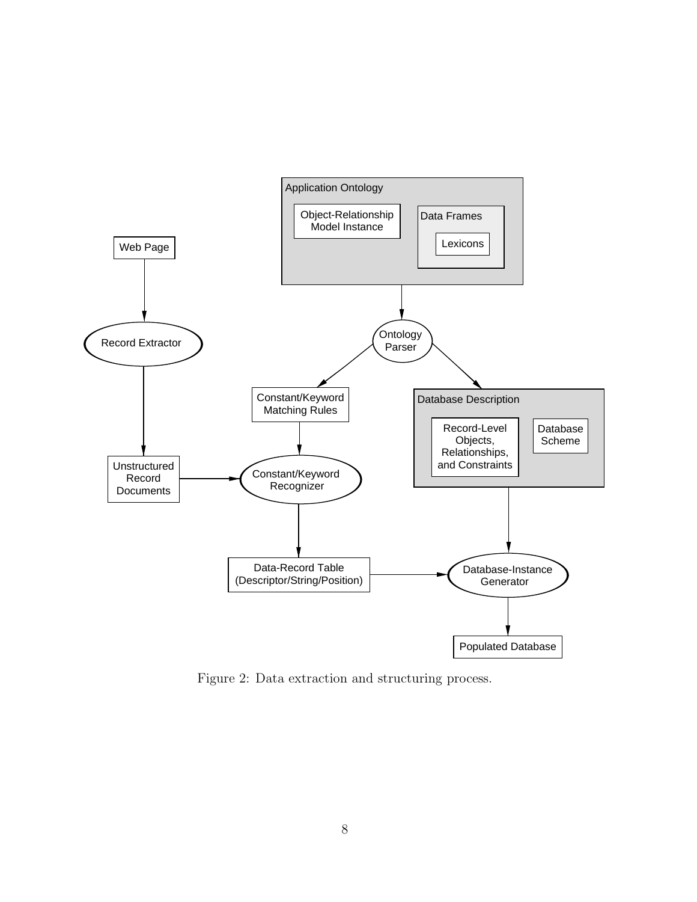

Figure 2: Data extraction and structuring process.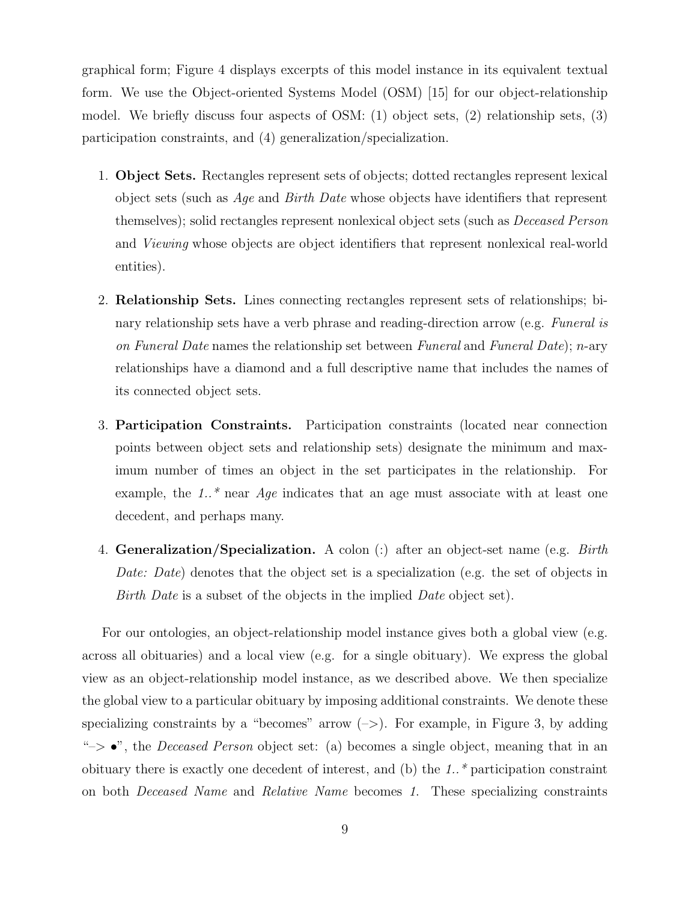graphical form; Figure 4 displays excerpts of this model instance in its equivalent textual form. We use the Object-oriented Systems Model (OSM) [15] for our object-relationship model. We briefly discuss four aspects of OSM: (1) object sets, (2) relationship sets, (3) participation constraints, and (4) generalization/specialization.

- 1. **Object Sets.** Rectangles represent sets of objects; dotted rectangles represent lexical object sets (such as *Age* and *Birth Date* whose objects have identifiers that represent themselves); solid rectangles represent nonlexical object sets (such as *Deceased Person* and *Viewing* whose objects are object identifiers that represent nonlexical real-world entities).
- 2. **Relationship Sets.** Lines connecting rectangles represent sets of relationships; binary relationship sets have a verb phrase and reading-direction arrow (e.g. *Funeral is on Funeral Date* names the relationship set between *Funeral* and *Funeral Date*); *n*-ary relationships have a diamond and a full descriptive name that includes the names of its connected object sets.
- 3. **Participation Constraints.** Participation constraints (located near connection points between object sets and relationship sets) designate the minimum and maximum number of times an object in the set participates in the relationship. For example, the *1..\** near *Age* indicates that an age must associate with at least one decedent, and perhaps many.
- 4. **Generalization/Specialization.** A colon (:) afteran object-set name (e.g. *Birth Date: Date*) denotes that the object set is a specialization (e.g. the set of objects in *Birth Date* is a subset of the objects in the implied *Date* object set).

For our ontologies, an object-relationship model instance gives both a global view (e.g. across all obituaries) and a local view (e.g. for a single obituary). We express the global view as an object-relationship model instance, as we described above. We then specialize the global view to a particular obituary by imposing additional constraints. We denote these specializing constraints by a "becomes" arrow  $(\rightarrow)$ . For example, in Figure 3, by adding "–*>* •", the *Deceased Person* object set: (a) becomes a single object, meaning that in an obituary there is exactly one decedent of interest, and (b) the *1..\** participation constraint on both *Deceased Name* and *Relative Name* becomes *1*. These specializing constraints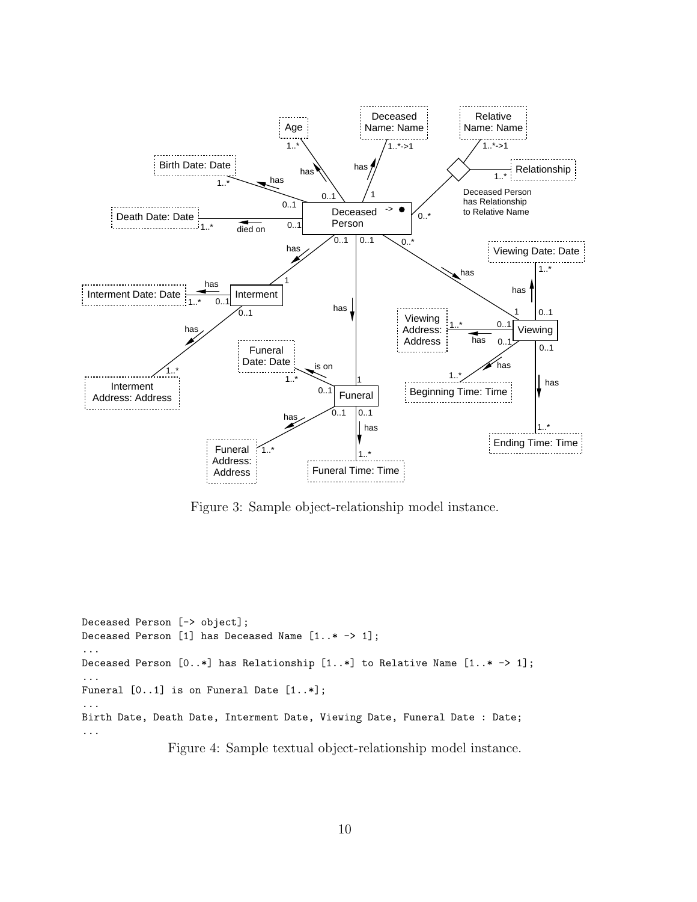

Figure 3: Sample object-relationship model instance.

```
Deceased Person [-> object];
Deceased Person [1] has Deceased Name [1..* -> 1];
...
Deceased Person [0..*] has Relationship [1..*] to Relative Name [1..* -> 1];
...
Funeral [0..1] is on Funeral Date [1..*];
...
Birth Date, Death Date, Interment Date, Viewing Date, Funeral Date : Date;
...
```
Figure 4: Sample textual object-relationship model instance.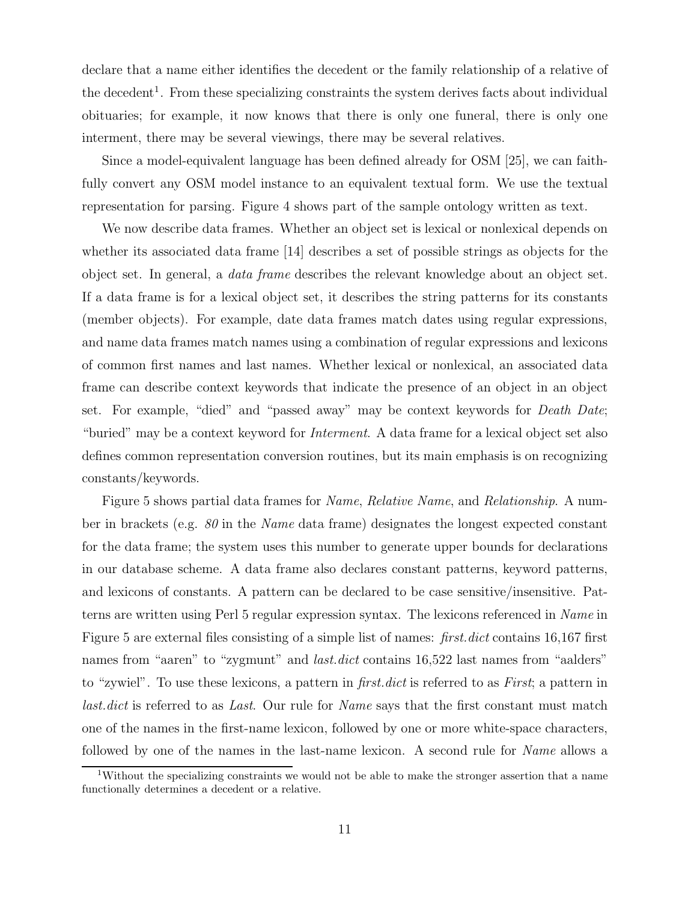declare that a name either identifies the decedent or the family relationship of a relative of the decedent<sup>1</sup>. From these specializing constraints the system derives facts about individual obituaries; for example, it now knows that there is only one funeral, there is only one interment, there may be several viewings, there may be several relatives.

Since a model-equivalent language has been defined already for OSM [25], we can faithfully convert any OSM model instance to an equivalent textual form. We use the textual representation for parsing. Figure 4 shows part of the sample ontology written as text.

We now describe data frames. Whether an object set is lexical or nonlexical depends on whether its associated data frame [14] describes a set of possible strings as objects for the object set. In general, a *data frame* describes the relevant knowledge about an object set. If a data frame is for a lexical object set, it describes the string patterns for its constants (member objects). For example, date data frames match dates using regular expressions, and name data frames match names using a combination of regular expressions and lexicons of common first names and last names. Whether lexical or nonlexical, an associated data frame can describe context keywords that indicate the presence of an object in an object set. For example, "died" and "passed away" may be context keywords for *Death Date*; "buried" may be a context keyword for *Interment*. A data frame for a lexical object set also defines common representation conversion routines, but its main emphasis is on recognizing constants/keywords.

Figure 5 shows partial data frames for *Name*, *Relative Name*, and *Relationship*. A numberin brackets (e.g. *80* in the *Name* data frame) designates the longest expected constant for the data frame; the system uses this number to generate upper bounds for declarations in our database scheme. A data frame also declares constant patterns, keyword patterns, and lexicons of constants. A pattern can be declared to be case sensitive/insensitive. Patterns are written using Perl 5 regular expression syntax. The lexicons referenced in *Name* in Figure 5 are external files consisting of a simple list of names: *first.dict* contains 16,167 first names from "aaren" to "zygmunt" and *last.dict* contains 16,522 last names from "aalders" to "zywiel". To use these lexicons, a pattern in *first.dict* is referred to as *First*; a pattern in *last.dict* is referred to as *Last*. Our rule for *Name* says that the first constant must match one of the names in the first-name lexicon, followed by one or more white-space characters, followed by one of the names in the last-name lexicon. A second rule for *Name* allows a

<sup>1</sup>Without the specializing constraints we would not be able to make the stronger assertion that a name functionally determines a decedent or a relative.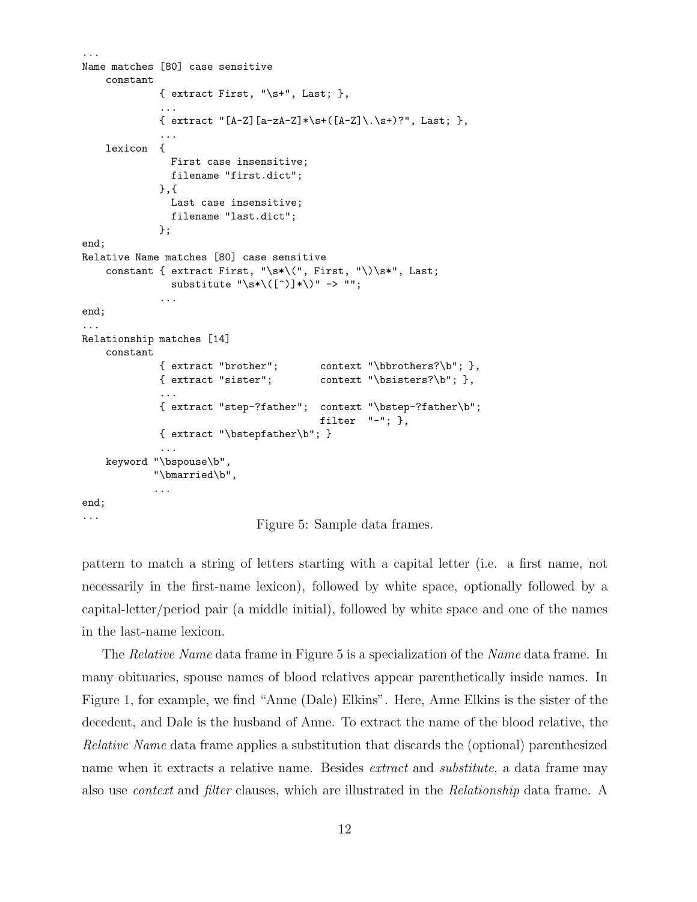```
Name matches [80] case sensitive
    constant
              { extract First, "\s+", Last; },
               ...
              { extract "[A-Z][a-zA-Z]*\s+([A-Z]\.\s+)?", Last; },
               ...
    lexicon {
                First case insensitive;
                filename "first.dict";
              },{
                Last case insensitive;
                 filename "last.dict";
              };
end;
Relative Name matches [80] case sensitive
    constant { extract First, "\s*\(", First, "\)\s*", Last;
                substitute "\s\ast\((\ulcorner)\urcorner\ast\urcorner)" -> "";
               ...
end;
...
Relationship matches [14]
    constant
              \label{lem:convex} \{ \, \, \text{extract} \, \, \text{"brother"}; \, \, \text{context} \, \, \text{"bbrothers?} \, \text{b"; } \, \} \, ,{ extract "sister"; context "\bsisters?\b"; },
               ...
              { extract "step-?father"; context "\bstep-?father\b";
                                             filter "-"; },
              { extract "\bstepfather\b"; }
               ...
    keyword "\bspouse\b",
             "\bmarried\b",
             ...
end;
...<br>Figure 5: Sample data frames.
```
...

pattern to match a string of letters starting with a capital letter (i.e. a first name, not necessarily in the first-name lexicon), followed by white space, optionally followed by a capital-letter/period pair (a middle initial), followed by white space and one of the names in the last-name lexicon.

The *Relative Name* data frame in Figure 5 is a specialization of the *Name* data frame. In many obituaries, spouse names of blood relatives appear parenthetically inside names. In Figure 1, for example, we find "Anne (Dale) Elkins". Here, Anne Elkins is the sister of the decedent, and Dale is the husband of Anne. To extract the name of the blood relative, the *Relative Name* data frame applies a substitution that discards the (optional) parenthesized name when it extracts a relative name. Besides *extract* and *substitute*, a data frame may also use *context* and *filter* clauses, which are illustrated in the *Relationship* data frame. A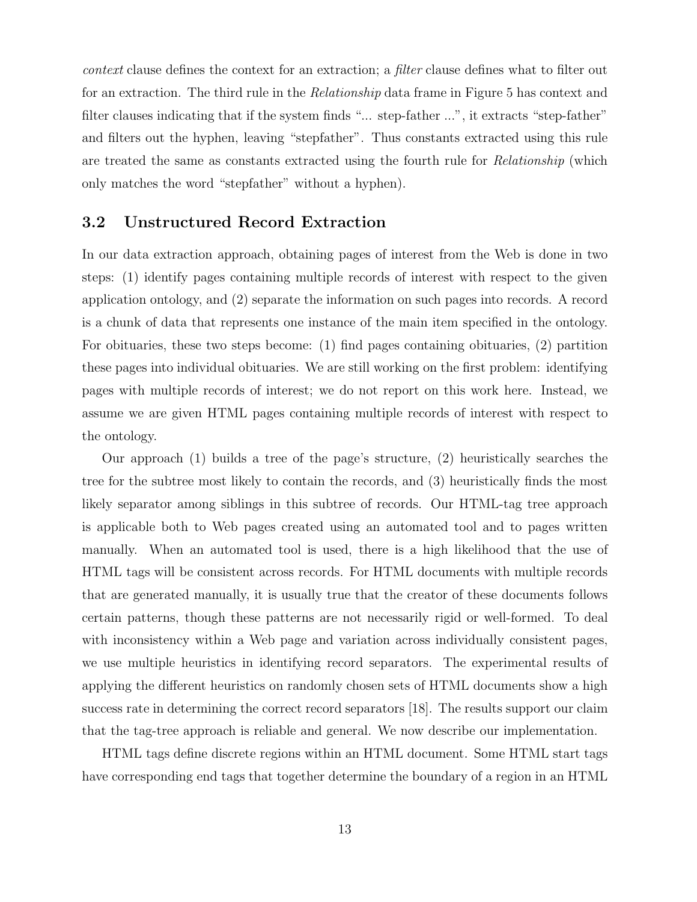*context* clause defines the context for an extraction; a *filter* clause defines what to filter out for an extraction. The third rule in the *Relationship* data frame in Figure 5 has context and filter clauses indicating that if the system finds "... step-father...", it extracts "step-father" and filters out the hyphen, leaving "stepfather". Thus constants extracted using this rule are treated the same as constants extracted using the fourth rule for *Relationship* (which only matches the word "stepfather" without a hyphen).

### **3.2 Unstructured Record Extraction**

In our data extraction approach, obtaining pages of interest from the Web is done in two steps: (1) identify pages containing multiple records of interest with respect to the given application ontology, and (2) separate the information on such pages into records. A record is a chunk of data that represents one instance of the main item specified in the ontology. For obituaries, these two steps become: (1) find pages containing obituaries, (2) partition these pages into individual obituaries. We are still working on the first problem: identifying pages with multiple records of interest; we do not report on this work here. Instead, we assume we are given HTML pages containing multiple records of interest with respect to the ontology.

Our approach (1) builds a tree of the page's structure, (2) heuristically searches the tree for the subtree most likely to contain the records, and (3) heuristically finds the most likely separator among siblings in this subtree of records. Our HTML-tag tree approach is applicable both to Web pages created using an automated tool and to pages written manually. When an automated tool is used, there is a high likelihood that the use of HTML tags will be consistent across records. For HTML documents with multiple records that are generated manually, it is usually true that the creator of these documents follows certain patterns, though these patterns are not necessarily rigid or well-formed. To deal with inconsistency within a Web page and variation across individually consistent pages, we use multiple heuristics in identifying record separators. The experimental results of applying the different heuristics on randomly chosen sets of HTML documents show a high success rate in determining the correct record separators [18]. The results support our claim that the tag-tree approach is reliable and general. We now describe our implementation.

HTML tags define discrete regions within an HTML document. Some HTML start tags have corresponding end tags that together determine the boundary of a region in an HTML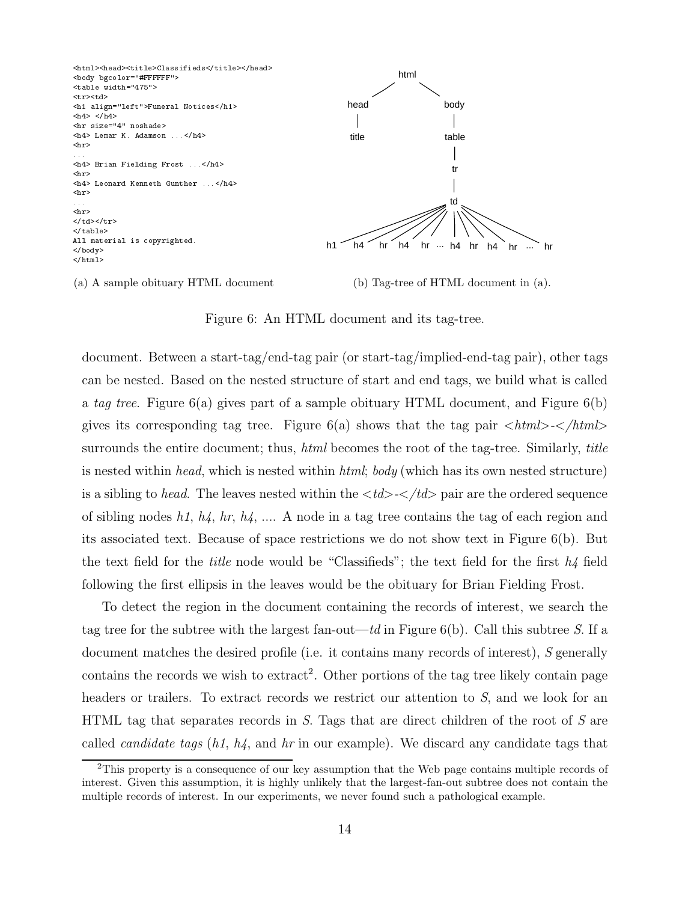

(a) A sample obituary HTML document .

(b) Tag-tree of HTML document in (a).

Figure 6: An HTML document and its tag-tree.

document. Between a start-tag/end-tag pair (or start-tag/implied-end-tag pair), other tags can be nested. Based on the nested structure of start and end tags, we build what is called a *tag tree*. Figure 6(a) gives part of a sample obituary HTML document, and Figure 6(b) gives its corresponding tag tree. Figure 6(a) shows that the tag pair  $\langle \text{html}\rangle$ - $\langle \text{html}\rangle$ surrounds the entire document; thus, *html* becomes the root of the tag-tree. Similarly, *title* is nested within *head*, which is nested within *html*; *body* (which has its own nested structure) is a sibling to *head*. The leaves nested within the *<td>-</td>* pair are the ordered sequence of sibling nodes *h1*, *h4*, *hr*, *h4*, .... A node in a tag tree contains the tag of each region and its associated text. Because of space restrictions we do not show text in Figure 6(b). But the text field for the *title* node would be "Classifieds"; the text field for the first  $h\phi$  field following the first ellipsis in the leaves would be the obituary for Brian Fielding Frost.

To detect the region in the document containing the records of interest, we search the tag tree for the subtree with the largest fan-out—*td* in Figure 6(b). Call this subtree *S*. If a document matches the desired profile (i.e. it contains many records of interest), *S* generally contains the records we wish to extract<sup>2</sup>. Other portions of the tag tree likely contain page headers or trailers. To extract records we restrict our attention to *S*, and we look foran HTML tag that separates records in *S*. Tags that are direct children of the root of *S* are called *candidate tags* (*h1*, *h4*, and *hr* in ourexample). We discard any candidate tags that

<sup>&</sup>lt;sup>2</sup>This property is a consequence of our key assumption that the Web page contains multiple records of interest. Given this assumption, it is highly unlikely that the largest-fan-out subtree does not contain the multiple records of interest. In our experiments, we never found such a pathological example.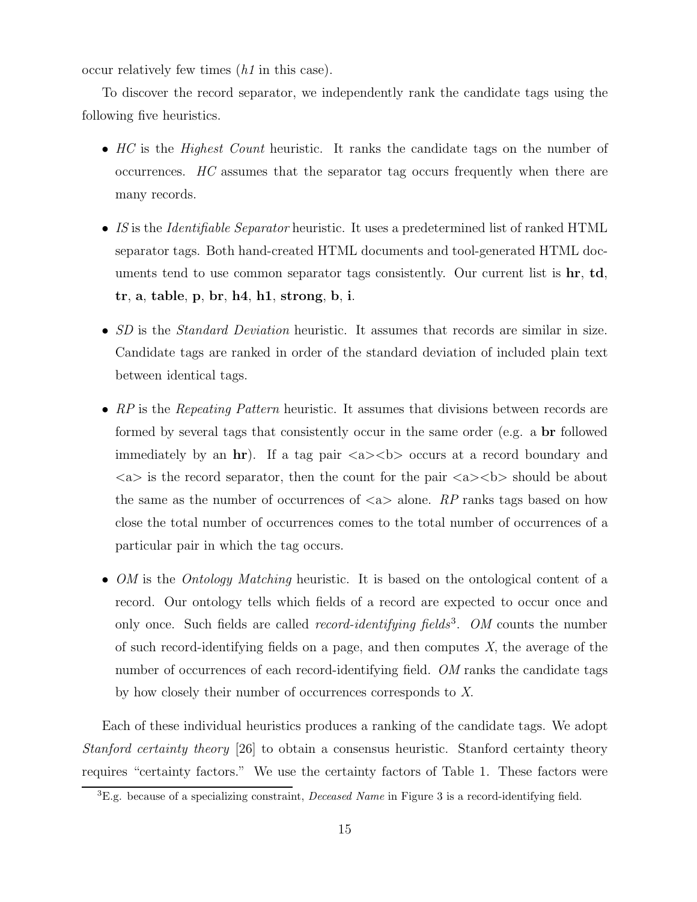occurrelatively few times  $(h1 \text{ in this case}).$ 

To discover the record separator, we independently rank the candidate tags using the following five heuristics.

- *HC* is the *Highest Count* heuristic. It ranks the candidate tags on the number of occurrences. *HC* assumes that the separator tag occurs frequently when there are many records.
- *IS* is the *Identifiable Separator* heuristic. It uses a predetermined list of ranked HTML separator tags. Both hand-created HTML documents and tool-generated HTML documents tend to use common separator tags consistently. Our current list is **hr**, **td**, **tr**, **a**, **table**, **p**, **br**, **h4**, **h1**, **strong**, **b**, **i**.
- *SD* is the *Standard Deviation* heuristic. It assumes that records are similar in size. Candidate tags are ranked in order of the standard deviation of included plain text between identical tags.
- *RP* is the *Repeating Pattern* heuristic. It assumes that divisions between records are formed by several tags that consistently occur in the same order (e.g. a **br** followed immediately by an **hr**). If a tag pair *<*a*><*b*>* occurs at a record boundary and *<*a*>* is the record separator, then the count for the pair *<*a*><*b*>* should be about the same as the number of occurrences of *<*a*>* alone. *RP* ranks tags based on how close the total number of occurrences comes to the total number of occurrences of a particular pair in which the tag occurs.
- *OM* is the *Ontology Matching* heuristic. It is based on the ontological content of a record. Our ontology tells which fields of a record are expected to occur once and only once. Such fields are called *record-identifying fields*<sup>3</sup>. *OM* counts the number of such record-identifying fields on a page, and then computes *X*, the average of the number of occurrences of each record-identifying field. *OM* ranks the candidate tags by how closely their number of occurrences corresponds to *X*.

Each of these individual heuristics produces a ranking of the candidate tags. We adopt *Stanford certainty theory* [26] to obtain a consensus heuristic. Stanford certainty theory requires "certainty factors." We use the certainty factors of Table 1. These factors were

<sup>3</sup>E.g. because of a specializing constraint, *Deceased Name* in Figure 3 is a record-identifying field.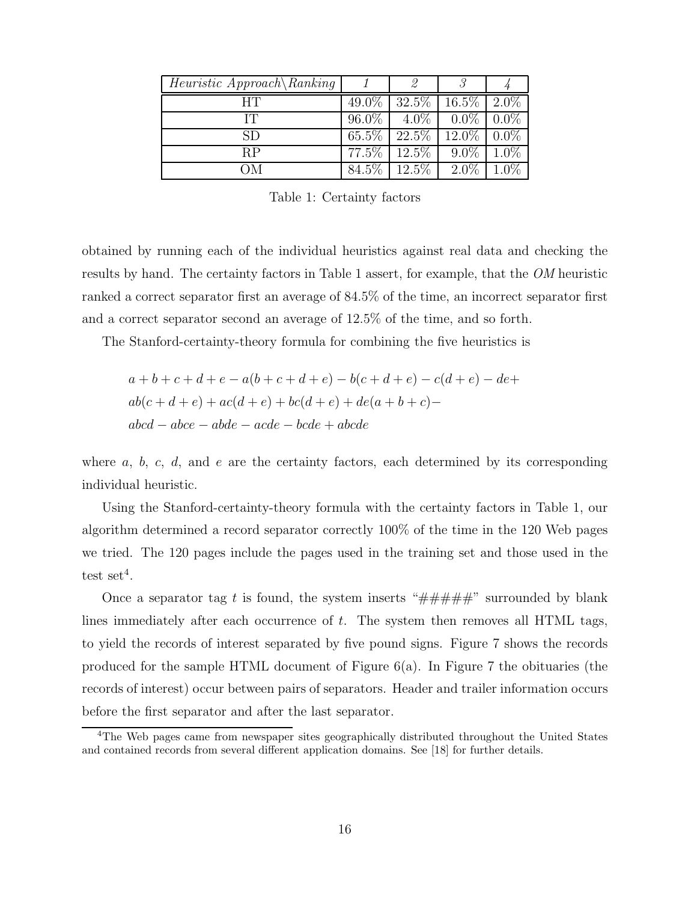| <i>Heuristic Approach Ranking</i> |          | 2                   |          |         |
|-----------------------------------|----------|---------------------|----------|---------|
| HТ                                | 49.0%    | $32.5\%$            | $16.5\%$ | $2.0\%$ |
| IТ                                | $96.0\%$ | $4.0\%$             | $0.0\%$  | $0.0\%$ |
| <b>SD</b>                         | $65.5\%$ | 22.5\%              | $12.0\%$ | $0.0\%$ |
| RP                                | 77.5%    | $\overline{12.5\%}$ | $9.0\%$  | $1.0\%$ |
| OМ                                | 84.5%    | $12.5\%$            | $2.0\%$  | $1.0\%$ |

Table 1: Certainty factors

obtained by running each of the individual heuristics against real data and checking the results by hand. The certainty factors in Table 1 assert, for example, that the *OM* heuristic ranked a correct separator first an average of 84.5% of the time, an incorrect separator first and a correct separator second an average of 12.5% of the time, and so forth.

The Stanford-certainty-theory formula for combining the five heuristics is

$$
a + b + c + d + e - a(b + c + d + e) - b(c + d + e) - c(d + e) - de+
$$
  

$$
ab(c + d + e) + ac(d + e) + bc(d + e) + de(a + b + c) -
$$
  

$$
abcd - abce - abde - acde - bcde + abcde
$$

where *a*, *b*, *c*, *d*, and *e* are the certainty factors, each determined by its corresponding individual heuristic.

Using the Stanford-certainty-theory formula with the certainty factors in Table 1, our algorithm determined a record separator correctly 100% of the time in the 120 Web pages we tried. The 120 pages include the pages used in the training set and those used in the test set<sup>4</sup>.

Once a separator tag  $t$  is found, the system inserts " $\# \# \# \# \#$ " surrounded by blank lines immediately after each occurrence of *t*. The system then removes all HTML tags, to yield the records of interest separated by five pound signs. Figure 7 shows the records produced for the sample HTML document of Figure  $6(a)$ . In Figure 7 the obituaries (the records of interest) occur between pairs of separators. Header and trailer information occurs before the first separator and after the last separator.

<sup>&</sup>lt;sup>4</sup>The Web pages came from newspaper sites geographically distributed throughout the United States and contained records from several different application domains. See [18] for further details.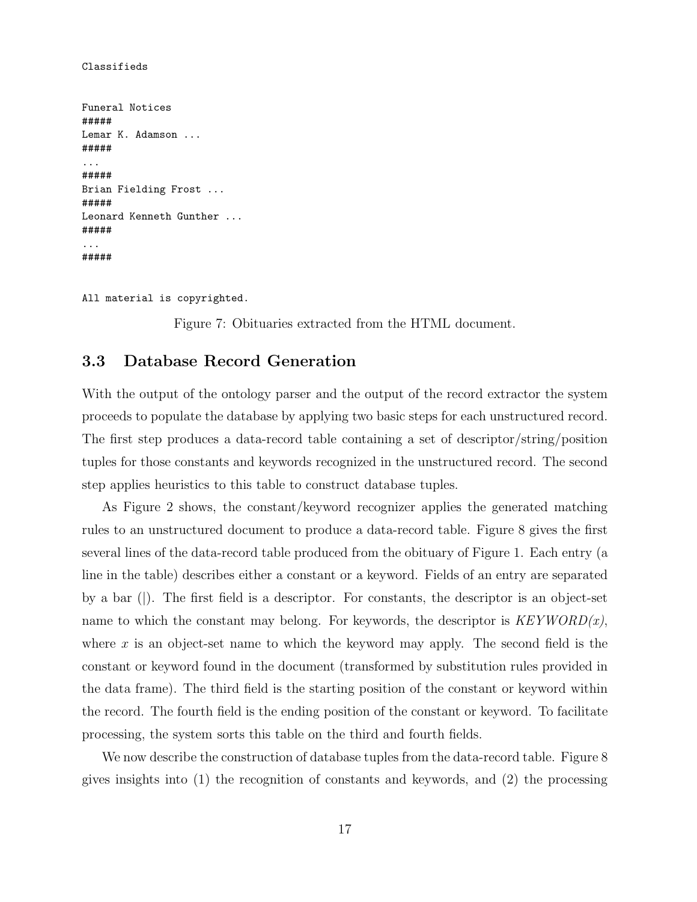Classifieds

```
Funeral Notices
#####
Lemar K. Adamson ...
#####
...
#####
Brian Fielding Frost ...
#####
Leonard Kenneth Gunther ...
#####
...
#####
```
All material is copyrighted.

Figure 7: Obituaries extracted from the HTML document.

#### **3.3 Database Record Generation**

With the output of the ontology parser and the output of the record extractor the system proceeds to populate the database by applying two basic steps for each unstructured record. The first step produces a data-record table containing a set of descriptor/string/position tuples for those constants and keywords recognized in the unstructured record. The second step applies heuristics to this table to construct database tuples.

As Figure 2 shows, the constant/keyword recognizer applies the generated matching rules to an unstructured document to produce a data-record table. Figure 8 gives the first several lines of the data-record table produced from the obituary of Figure 1. Each entry (a line in the table) describes either a constant or a keyword. Fields of an entry are separated by a bar(|). The first field is a descriptor. For constants, the descriptor is an object-set name to which the constant may belong. For keywords, the descriptor is *KEYWORD(x)*, where x is an object-set name to which the keyword may apply. The second field is the constant or keyword found in the document (transformed by substitution rules provided in the data frame). The third field is the starting position of the constant or keyword within the record. The fourth field is the ending position of the constant or keyword. To facilitate processing, the system sorts this table on the third and fourth fields.

We now describe the construction of database tuples from the data-record table. Figure 8 gives insights into (1) the recognition of constants and keywords, and (2) the processing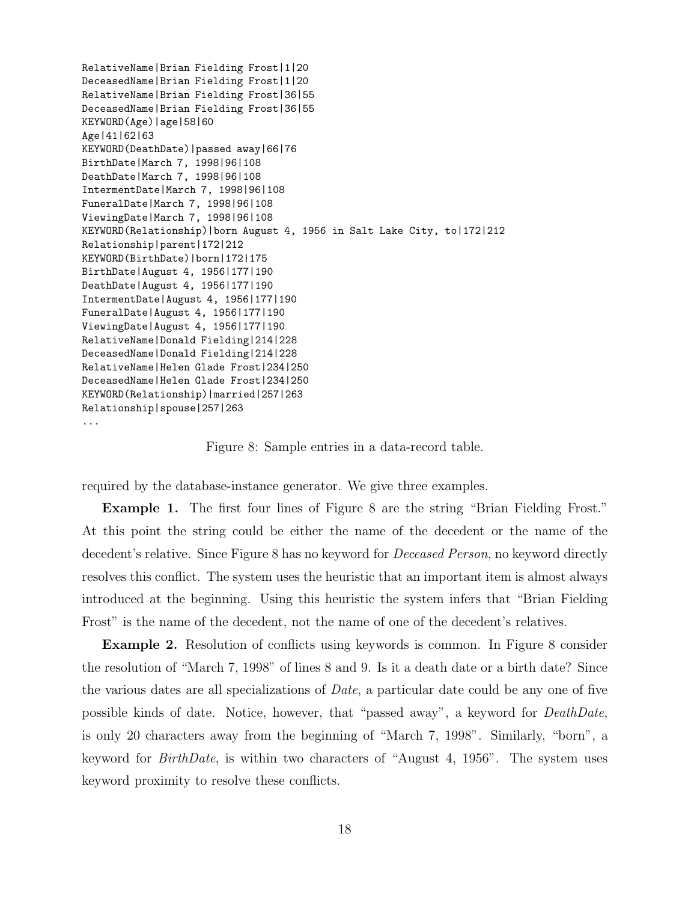```
RelativeName|Brian Fielding Frost|1|20
DeceasedName|Brian Fielding Frost|1|20
RelativeName|Brian Fielding Frost|36|55
DeceasedName|Brian Fielding Frost|36|55
KEYWORD(Age)|age|58|60
Age|41|62|63
KEYWORD(DeathDate)|passed away|66|76
BirthDate|March 7, 1998|96|108
DeathDate|March 7, 1998|96|108
IntermentDate|March 7, 1998|96|108
FuneralDate|March 7, 1998|96|108
ViewingDate|March 7, 1998|96|108
KEYWORD(Relationship)|born August 4, 1956 in Salt Lake City, to|172|212
Relationship|parent|172|212
KEYWORD(BirthDate)|born|172|175
BirthDate|August 4, 1956|177|190
DeathDate|August 4, 1956|177|190
IntermentDate|August 4, 1956|177|190
FuneralDate|August 4, 1956|177|190
ViewingDate|August 4, 1956|177|190
RelativeName|Donald Fielding|214|228
DeceasedName|Donald Fielding|214|228
RelativeName|Helen Glade Frost|234|250
DeceasedName|Helen Glade Frost|234|250
KEYWORD(Relationship)|married|257|263
Relationship|spouse|257|263
...
```
Figure 8: Sample entries in a data-record table.

required by the database-instance generator. We give three examples.

**Example 1.** The first four lines of Figure 8 are the string "Brian Fielding Frost." At this point the string could be either the name of the decedent or the name of the decedent's relative. Since Figure 8 has no keyword for *Deceased Person*, no keyword directly resolves this conflict. The system uses the heuristic that an important item is almost always introduced at the beginning. Using this heuristic the system infers that "Brian Fielding Frost" is the name of the decedent, not the name of one of the decedent's relatives.

**Example 2.** Resolution of conflicts using keywords is common. In Figure 8 consider the resolution of "March 7, 1998" of lines 8 and 9. Is it a death date or a birth date? Since the various dates are all specializations of *Date*, a particular date could be any one of five possible kinds of date. Notice, however, that "passed away", a keyword for *DeathDate*, is only 20 characters away from the beginning of "March 7, 1998". Similarly, "born", a keyword for *BirthDate*, is within two characters of "August 4, 1956". The system uses keyword proximity to resolve these conflicts.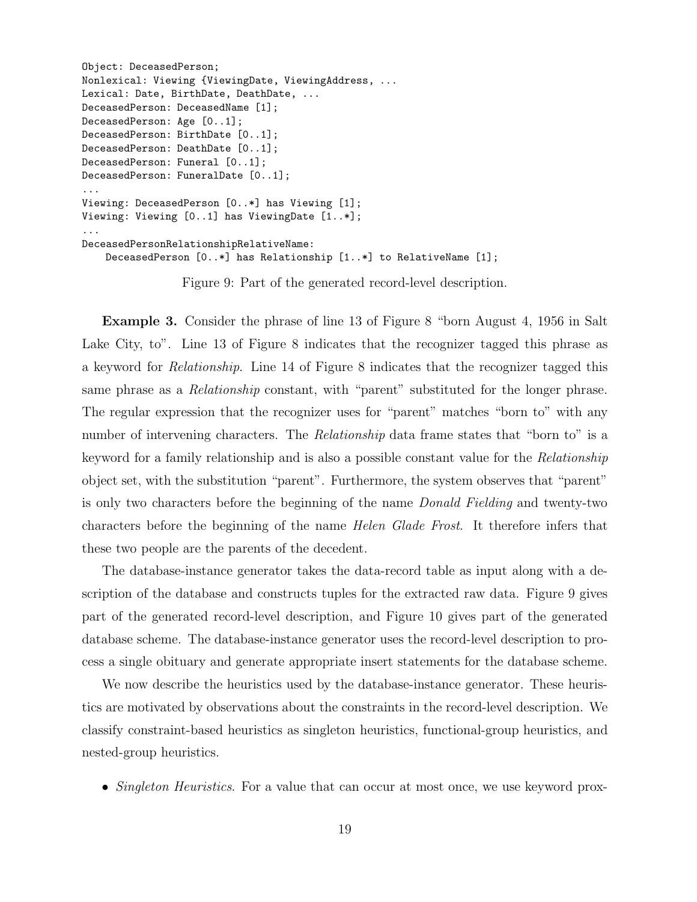```
Object: DeceasedPerson;
Nonlexical: Viewing {ViewingDate, ViewingAddress, ...
Lexical: Date, BirthDate, DeathDate, ...
DeceasedPerson: DeceasedName [1];
DeceasedPerson: Age [0..1];
DeceasedPerson: BirthDate [0..1];
DeceasedPerson: DeathDate [0..1];
DeceasedPerson: Funeral [0..1];
DeceasedPerson: FuneralDate [0..1];
...
Viewing: DeceasedPerson [0..*] has Viewing [1];
Viewing: Viewing [0..1] has ViewingDate [1..*];
...
DeceasedPersonRelationshipRelativeName:
   DeceasedPerson [0..*] has Relationship [1..*] to RelativeName [1];
```
Figure 9: Part of the generated record-level description.

**Example 3.** Consider the phrase of line 13 of Figure 8 "born August 4, 1956 in Salt Lake City, to". Line 13 of Figure 8 indicates that the recognizer tagged this phrase as a keyword for *Relationship*. Line 14 of Figure 8 indicates that the recognizer tagged this same phrase as a *Relationship* constant, with "parent" substituted for the longer phrase. The regular expression that the recognizer uses for "parent" matches "born to" with any number of intervening characters. The *Relationship* data frame states that "born to" is a keyword for a family relationship and is also a possible constant value for the *Relationship* object set, with the substitution "parent". Furthermore, the system observes that "parent" is only two characters before the beginning of the name *Donald Fielding* and twenty-two characters before the beginning of the name *Helen Glade Frost*. It therefore infers that these two people are the parents of the decedent.

The database-instance generator takes the data-record table as input along with a description of the database and constructs tuples for the extracted raw data. Figure 9 gives part of the generated record-level description, and Figure 10 gives part of the generated database scheme. The database-instance generator uses the record-level description to process a single obituary and generate appropriate insert statements for the database scheme.

We now describe the heuristics used by the database-instance generator. These heuristics are motivated by observations about the constraints in the record-level description. We classify constraint-based heuristics as singleton heuristics, functional-group heuristics, and nested-group heuristics.

• *Singleton Heuristics*. For a value that can occur at most once, we use keyword prox-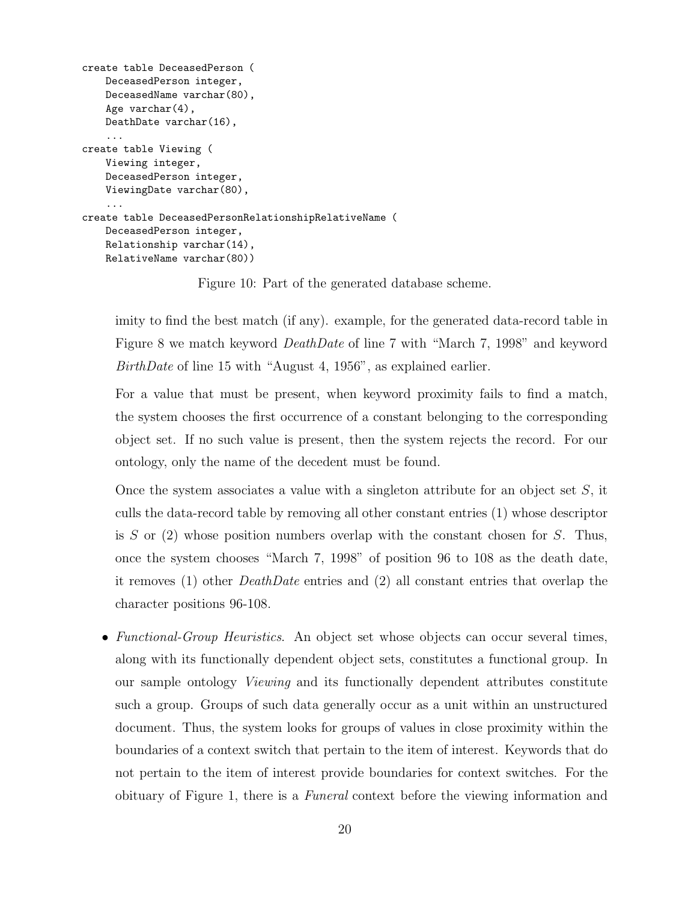```
create table DeceasedPerson (
   DeceasedPerson integer,
   DeceasedName varchar(80),
   Age varchar(4),
   DeathDate varchar(16),
    ...
create table Viewing (
   Viewing integer,
   DeceasedPerson integer,
   ViewingDate varchar(80),
    ...
create table DeceasedPersonRelationshipRelativeName (
   DeceasedPerson integer,
   Relationship varchar(14),
   RelativeName varchar(80))
```
Figure 10: Part of the generated database scheme.

imity to find the best match (if any). example, for the generated data-record table in Figure 8 we match keyword *DeathDate* of line 7 with "March 7, 1998" and keyword *BirthDate* of line 15 with "August 4, 1956", as explained earlier.

For a value that must be present, when keyword proximity fails to find a match, the system chooses the first occurrence of a constant belonging to the corresponding object set. If no such value is present, then the system rejects the record. For our ontology, only the name of the decedent must be found.

Once the system associates a value with a singleton attribute for an object set *S*, it culls the data-record table by removing all other constant entries (1) whose descriptor is *S* or (2) whose position numbers overlap with the constant chosen for *S*. Thus, once the system chooses "March 7, 1998" of position 96 to 108 as the death date, it removes (1) other *DeathDate* entries and (2) all constant entries that overlap the character positions 96-108.

• *Functional-Group Heuristics*. An object set whose objects can occur several times, along with its functionally dependent object sets, constitutes a functional group. In our sample ontology *Viewing* and its functionally dependent attributes constitute such a group. Groups of such data generally occur as a unit within an unstructured document. Thus, the system looks for groups of values in close proximity within the boundaries of a context switch that pertain to the item of interest. Keywords that do not pertain to the item of interest provide boundaries for context switches. For the obituary of Figure 1, there is a *Funeral* context before the viewing information and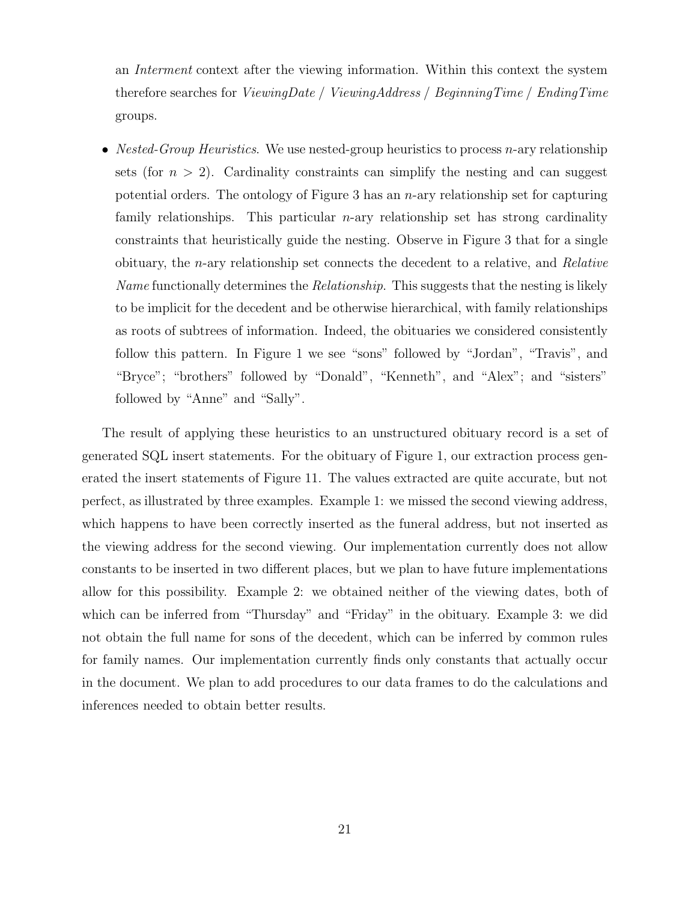an *Interment* context after the viewing information. Within this context the system therefore searches for *ViewingDate* / *ViewingAddress* / *BeginningTime* / *EndingTime* groups.

• *Nested-Group Heuristics*. We use nested-group heuristics to process *n*-ary relationship sets (for  $n > 2$ ). Cardinality constraints can simplify the nesting and can suggest potential orders. The ontology of Figure 3 has an *n*-ary relationship set for capturing family relationships. This particular *n*-ary relationship set has strong cardinality constraints that heuristically guide the nesting. Observe in Figure 3 that for a single obituary, the *n*-ary relationship set connects the decedent to a relative, and *Relative Name* functionally determines the *Relationship*. This suggests that the nesting is likely to be implicit for the decedent and be otherwise hierarchical, with family relationships as roots of subtrees of information. Indeed, the obituaries we considered consistently follow this pattern. In Figure 1 we see "sons" followed by "Jordan", "Travis", and "Bryce"; "brothers" followed by "Donald", "Kenneth", and "Alex"; and "sisters" followed by "Anne" and "Sally".

The result of applying these heuristics to an unstructured obituary record is a set of generated SQL insert statements. For the obituary of Figure 1, our extraction process generated the insert statements of Figure 11. The values extracted are quite accurate, but not perfect, as illustrated by three examples. Example 1: we missed the second viewing address, which happens to have been correctly inserted as the funeral address, but not inserted as the viewing address for the second viewing. Our implementation currently does not allow constants to be inserted in two different places, but we plan to have future implementations allow for this possibility. Example 2: we obtained neither of the viewing dates, both of which can be inferred from "Thursday" and "Friday" in the obituary. Example 3: we did not obtain the full name for sons of the decedent, which can be inferred by common rules for family names. Our implementation currently finds only constants that actually occur in the document. We plan to add procedures to our data frames to do the calculations and inferences needed to obtain better results.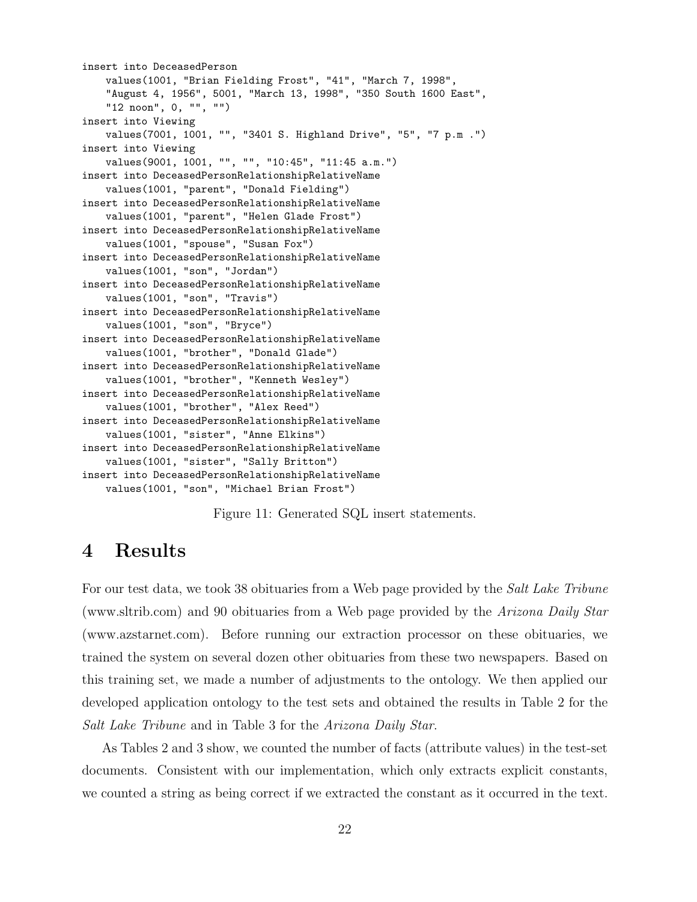```
insert into DeceasedPerson
   values(1001, "Brian Fielding Frost", "41", "March 7, 1998",
    "August 4, 1956", 5001, "March 13, 1998", "350 South 1600 East",
    "12 noon", 0, "", "")
insert into Viewing
   values(7001, 1001, "", "3401 S. Highland Drive", "5", "7 p.m .")
insert into Viewing
    values(9001, 1001, "", "", "10:45", "11:45 a.m.")
insert into DeceasedPersonRelationshipRelativeName
   values(1001, "parent", "Donald Fielding")
insert into DeceasedPersonRelationshipRelativeName
   values(1001, "parent", "Helen Glade Frost")
insert into DeceasedPersonRelationshipRelativeName
   values(1001, "spouse", "Susan Fox")
insert into DeceasedPersonRelationshipRelativeName
   values(1001, "son", "Jordan")
insert into DeceasedPersonRelationshipRelativeName
   values(1001, "son", "Travis")
insert into DeceasedPersonRelationshipRelativeName
   values(1001, "son", "Bryce")
insert into DeceasedPersonRelationshipRelativeName
   values(1001, "brother", "Donald Glade")
insert into DeceasedPersonRelationshipRelativeName
   values(1001, "brother", "Kenneth Wesley")
insert into DeceasedPersonRelationshipRelativeName
   values(1001, "brother", "Alex Reed")
insert into DeceasedPersonRelationshipRelativeName
   values(1001, "sister", "Anne Elkins")
insert into DeceasedPersonRelationshipRelativeName
   values(1001, "sister", "Sally Britton")
insert into DeceasedPersonRelationshipRelativeName
    values(1001, "son", "Michael Brian Frost")
```
Figure 11: Generated SQL insert statements.

## **4 Results**

For our test data, we took 38 obituaries from a Web page provided by the *Salt Lake Tribune* (www.sltrib.com) and 90 obituaries from a Web page provided by the *Arizona Daily Star* (www.azstarnet.com). Before running our extraction processor on these obituaries, we trained the system on several dozen other obituaries from these two newspapers. Based on this training set, we made a number of adjustments to the ontology. We then applied our developed application ontology to the test sets and obtained the results in Table 2 for the *Salt Lake Tribune* and in Table 3 for the *Arizona Daily Star.* 

As Tables 2 and 3 show, we counted the numberof facts (attribute values) in the test-set documents. Consistent with our implementation, which only extracts explicit constants, we counted a string as being correct if we extracted the constant as it occurred in the text.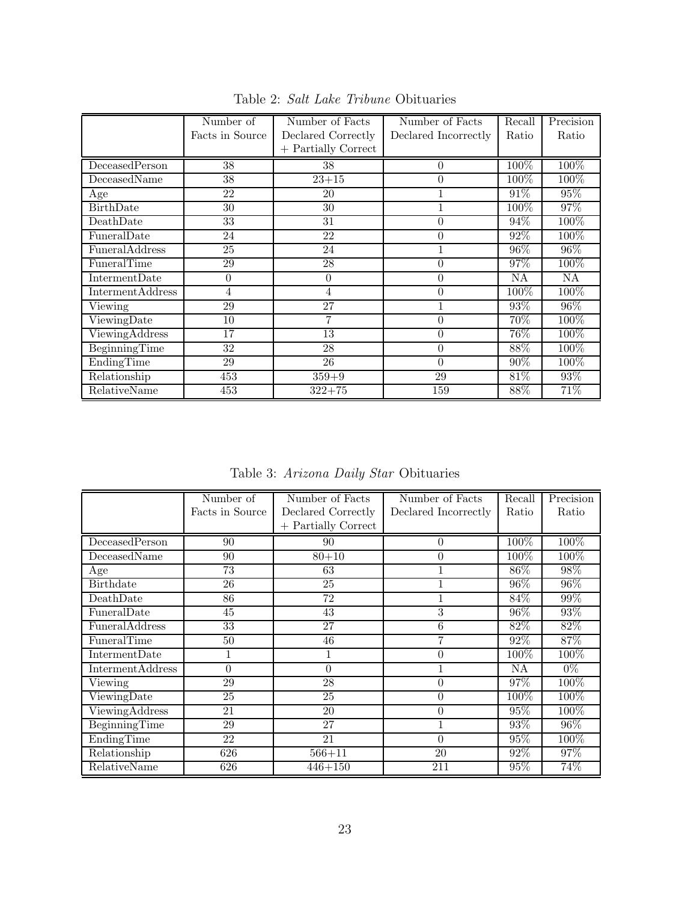|                         | Number of       | Number of Facts     | Number of Facts      | Recall  | Precision |
|-------------------------|-----------------|---------------------|----------------------|---------|-----------|
|                         | Facts in Source | Declared Correctly  | Declared Incorrectly | Ratio   | Ratio     |
|                         |                 | + Partially Correct |                      |         |           |
| DeceasedPerson          | 38              | 38                  | $\overline{0}$       | 100%    | 100%      |
| DeceasedName            | 38              | $23 + 15$           | $\boldsymbol{0}$     | 100%    | 100%      |
| Age                     | 22              | 20                  | 1                    | 91%     | 95%       |
| BirthDate               | 30              | 30                  | 1                    | $100\%$ | 97%       |
| DeathDate               | 33              | 31                  | $\theta$             | 94%     | 100%      |
| FuneralDate             | 24              | 22                  | $\overline{0}$       | 92%     | 100%      |
| FuneralAddress          | 25              | 24                  | $\mathbf{1}$         | $96\%$  | $96\%$    |
| FuneralTime             | 29              | 28                  | $\theta$             | 97%     | 100%      |
| IntermentDate           | $\theta$        | $\theta$            | $\overline{0}$       | NA      | NA        |
| <b>IntermentAddress</b> | 4               | $\overline{4}$      | $\overline{0}$       | 100%    | $100\%$   |
| Viewing                 | 29              | 27                  | 1                    | 93%     | 96%       |
| ViewingDate             | 10              | $\overline{7}$      | $\overline{0}$       | 70%     | 100%      |
| ViewingAddress          | 17              | 13                  | $\theta$             | 76%     | 100%      |
| BeginningTime           | 32              | 28                  | $\overline{0}$       | 88%     | 100%      |
| EndingTime              | 29              | 26                  | $\overline{0}$       | $90\%$  | 100%      |
| Relationship            | 453             | $359 + 9$           | 29                   | 81\%    | 93%       |
| RelativeName            | 453             | $322 + 75$          | 159                  | 88%     | 71%       |

Table 2: *Salt Lake Tribune* Obituaries

Table 3: *Arizona Daily Star* Obituaries

|                      | Number of       | Number of Facts     | Number of Facts      | Recall | Precision |
|----------------------|-----------------|---------------------|----------------------|--------|-----------|
|                      | Facts in Source | Declared Correctly  | Declared Incorrectly | Ratio  | Ratio     |
|                      |                 | + Partially Correct |                      |        |           |
| DeceasedPerson       | 90              | 90                  | $\theta$             | 100%   | 100%      |
| DeceasedName         | 90              | $80 + 10$           | 0                    | 100%   | 100%      |
| Age                  | 73              | 63                  | $\mathbf{1}$         | 86%    | 98%       |
| <b>Birthdate</b>     | 26              | $\overline{25}$     |                      | $96\%$ | $96\%$    |
| DeathDate            | 86              | 72                  |                      | 84\%   | $99\%$    |
| FuneralDate          | 45              | 43                  | 3                    | $96\%$ | $93\%$    |
| FuneralAddress       | 33              | $\overline{27}$     | 6                    | 82\%   | 82\%      |
| FuneralTime          | 50              | 46                  | 7                    | 92%    | 87\%      |
| <b>IntermentDate</b> |                 | $\mathbf 1$         | $\overline{0}$       | 100%   | 100%      |
| IntermentAddress     | $\theta$        | $\theta$            |                      | NA     | $0\%$     |
| Viewing              | 29              | $28\,$              | $\overline{0}$       | 97%    | 100%      |
| ViewingDate          | 25              | $\overline{25}$     | $\overline{0}$       | 100%   | 100%      |
| ViewingAddress       | 21              | $20\,$              | $\overline{0}$       | 95%    | 100%      |
| BeginningTime        | 29              | 27                  |                      | 93%    | 96%       |
| EndingTime           | 22              | 21                  | $\overline{0}$       | 95%    | $100\%$   |
| Relationship         | 626             | $566 + 11$          | 20                   | $92\%$ | 97%       |
| RelativeName         | 626             | $446 + 150$         | 211                  | 95%    | 74%       |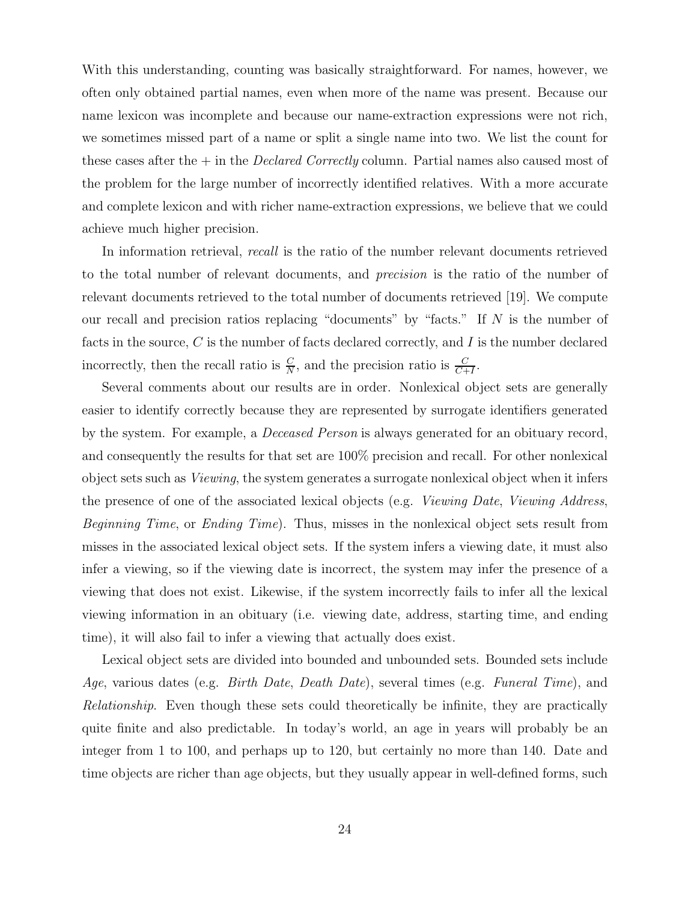With this understanding, counting was basically straightforward. For names, however, we often only obtained partial names, even when more of the name was present. Because our name lexicon was incomplete and because our name-extraction expressions were not rich, we sometimes missed part of a name or split a single name into two. We list the count for these cases after the  $+$  in the *Declared Correctly* column. Partial names also caused most of the problem for the large number of incorrectly identified relatives. With a more accurate and complete lexicon and with richer name-extraction expressions, we believe that we could achieve much higher precision.

In information retrieval, *recall* is the ratio of the number relevant documents retrieved to the total number of relevant documents, and *precision* is the ratio of the number of relevant documents retrieved to the total number of documents retrieved [19]. We compute our recall and precision ratios replacing "documents" by "facts." If *N* is the numberof facts in the source,  $C$  is the number of facts declared correctly, and  $I$  is the number declared incorrectly, then the recall ratio is  $\frac{C}{N}$ , and the precision ratio is  $\frac{C}{C+I}$ .

Several comments about our results are in order. Nonlexical object sets are generally easier to identify correctly because they are represented by surrogate identifiers generated by the system. Forexample, a *Deceased Person* is always generated for an obituary record, and consequently the results for that set are 100% precision and recall. For other nonlexical object sets such as *Viewing*, the system generates a surrogate nonlexical object when it infers the presence of one of the associated lexical objects (e.g. *Viewing Date*, *Viewing Address*, *Beginning Time*, or *Ending Time*). Thus, misses in the nonlexical object sets result from misses in the associated lexical object sets. If the system infers a viewing date, it must also infer a viewing, so if the viewing date is incorrect, the system may infer the presence of a viewing that does not exist. Likewise, if the system incorrectly fails to infer all the lexical viewing information in an obituary (i.e. viewing date, address, starting time, and ending time), it will also fail to infera viewing that actually does exist.

Lexical object sets are divided into bounded and unbounded sets. Bounded sets include *Age*, various dates (e.g. *Birth Date*, *Death Date*), several times (e.g. *Funeral Time*), and *Relationship*. Even though these sets could theoretically be infinite, they are practically quite finite and also predictable. In today's world, an age in years will probably be an integer from 1 to 100, and perhaps up to 120, but certainly no more than 140. Date and time objects are richer than age objects, but they usually appear in well-defined forms, such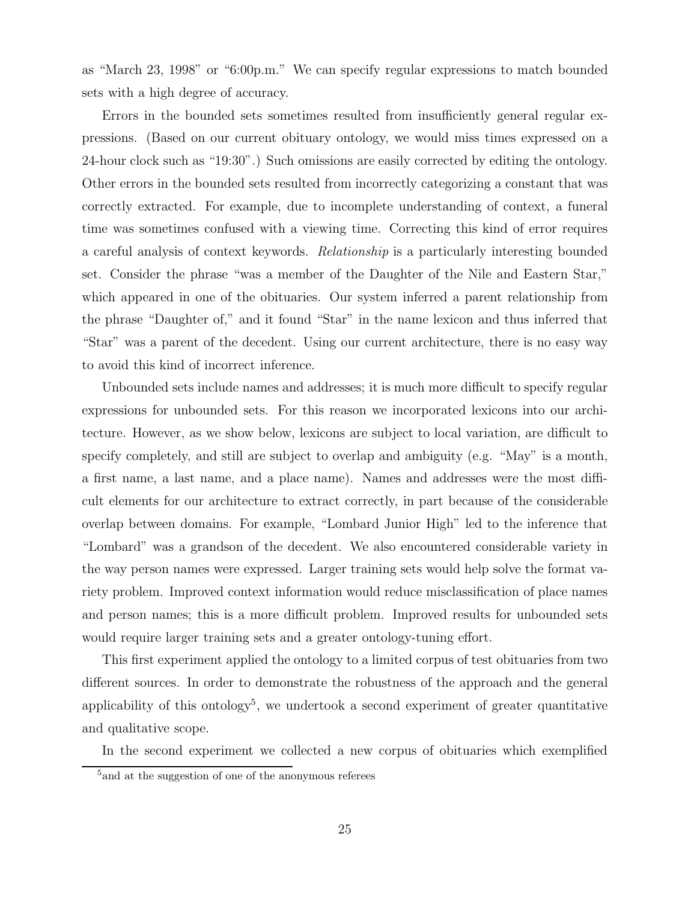as "March 23, 1998" or "6:00p.m." We can specify regular expressions to match bounded sets with a high degree of accuracy.

Errors in the bounded sets sometimes resulted from insufficiently general regular expressions. (Based on our current obituary ontology, we would miss times expressed on a 24-hour clock such as "19:30".) Such omissions are easily corrected by editing the ontology. Other errors in the bounded sets resulted from incorrectly categorizing a constant that was correctly extracted. For example, due to incomplete understanding of context, a funeral time was sometimes confused with a viewing time. Correcting this kind of error requires a careful analysis of context keywords. *Relationship* is a particularly interesting bounded set. Consider the phrase "was a member of the Daughter of the Nile and Eastern Star," which appeared in one of the obituaries. Our system inferred a parent relationship from the phrase "Daughter of," and it found "Star" in the name lexicon and thus inferred that "Star" was a parent of the decedent. Using our current architecture, there is no easy way to avoid this kind of incorrect inference.

Unbounded sets include names and addresses; it is much more difficult to specify regular expressions for unbounded sets. For this reason we incorporated lexicons into our architecture. However, as we show below, lexicons are subject to local variation, are difficult to specify completely, and still are subject to overlap and ambiguity (e.g. "May" is a month, a first name, a last name, and a place name). Names and addresses were the most difficult elements for our architecture to extract correctly, in part because of the considerable overlap between domains. For example, "Lombard Junior High" led to the inference that "Lombard" was a grandson of the decedent. We also encountered considerable variety in the way person names were expressed. Larger training sets would help solve the format variety problem. Improved context information would reduce misclassification of place names and person names; this is a more difficult problem. Improved results for unbounded sets would require larger training sets and a greater ontology-tuning effort.

This first experiment applied the ontology to a limited corpus of test obituaries from two different sources. In order to demonstrate the robustness of the approach and the general applicability of this ontology<sup>5</sup>, we undertook a second experiment of greater quantitative and qualitative scope.

In the second experiment we collected a new corpus of obituaries which exemplified

<sup>&</sup>lt;sup>5</sup> and at the suggestion of one of the anonymous referees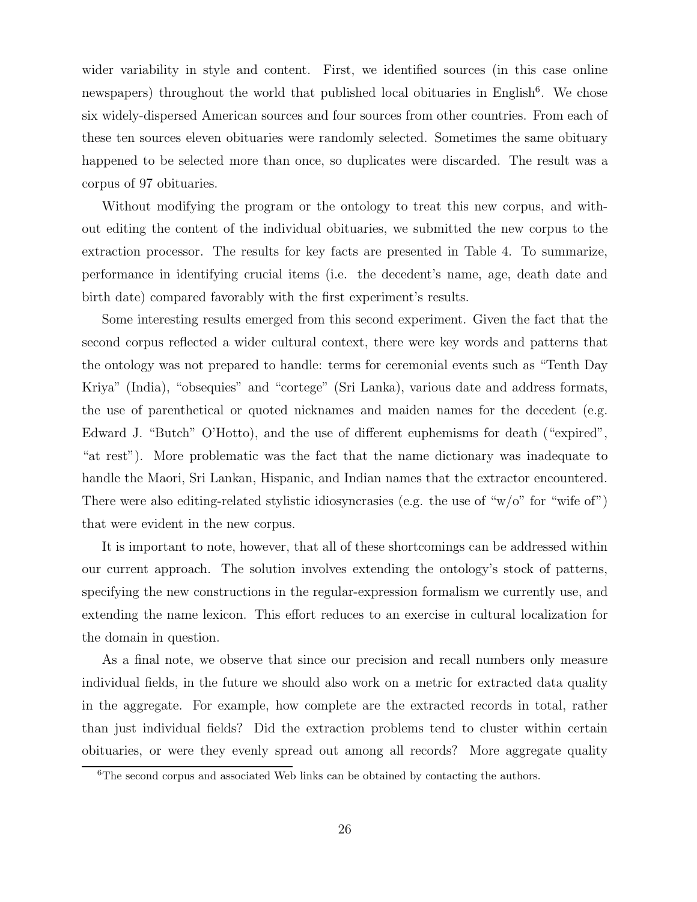wider variability in style and content. First, we identified sources (in this case online newspapers) throughout the world that published local obituaries in English<sup>6</sup>. We chose six widely-dispersed American sources and four sources from other countries. From each of these ten sources eleven obituaries were randomly selected. Sometimes the same obituary happened to be selected more than once, so duplicates were discarded. The result was a corpus of 97 obituaries.

Without modifying the program or the ontology to treat this new corpus, and without editing the content of the individual obituaries, we submitted the new corpus to the extraction processor. The results for key facts are presented in Table 4. To summarize, performance in identifying crucial items (i.e. the decedent's name, age, death date and birth date) compared favorably with the first experiment's results.

Some interesting results emerged from this second experiment. Given the fact that the second corpus reflected a wider cultural context, there were key words and patterns that the ontology was not prepared to handle: terms for ceremonial events such as "Tenth Day Kriya" (India), "obsequies" and "cortege" (Sri Lanka), various date and address formats, the use of parenthetical or quoted nicknames and maiden names for the decedent (e.g. Edward J. "Butch" O'Hotto), and the use of different euphemisms for death ("expired", "at rest"). More problematic was the fact that the name dictionary was inadequate to handle the Maori, Sri Lankan, Hispanic, and Indian names that the extractor encountered. There were also editing-related stylistic idiosyncrasies (e.g. the use of "w/o" for "wife of") that were evident in the new corpus.

It is important to note, however, that all of these shortcomings can be addressed within our current approach. The solution involves extending the ontology's stock of patterns, specifying the new constructions in the regular-expression formalism we currently use, and extending the name lexicon. This effort reduces to an exercise in cultural localization for the domain in question.

As a final note, we observe that since our precision and recall numbers only measure individual fields, in the future we should also work on a metric for extracted data quality in the aggregate. For example, how complete are the extracted records in total, rather than just individual fields? Did the extraction problems tend to cluster within certain obituaries, or were they evenly spread out among all records? More aggregate quality

 $6$ The second corpus and associated Web links can be obtained by contacting the authors.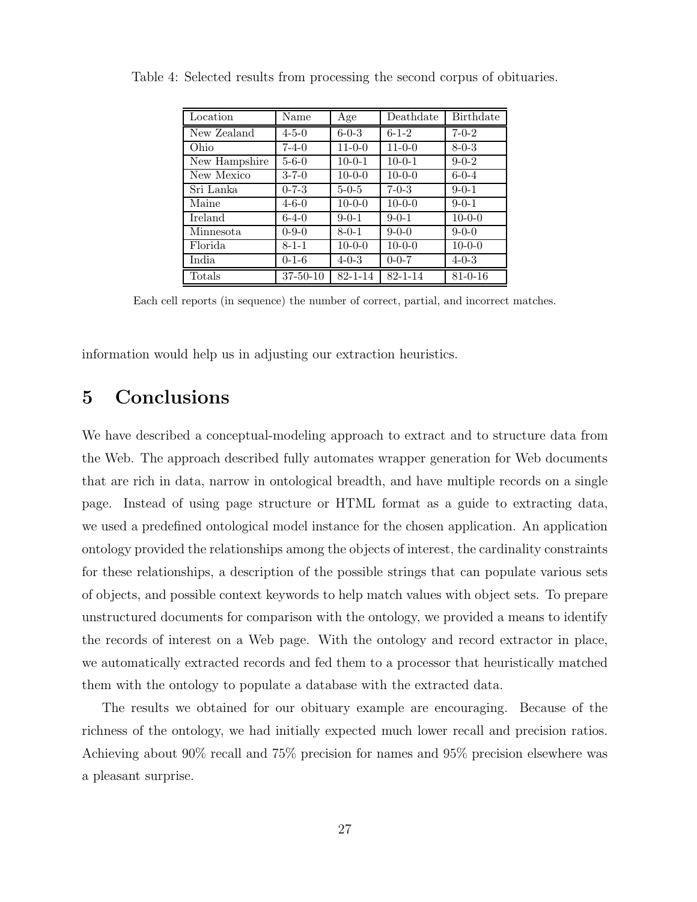| Location       | Name        | Age           | Deathdate     | <b>Birthdate</b> |
|----------------|-------------|---------------|---------------|------------------|
| New Zealand    | $4 - 5 - 0$ | $6 - 0 - 3$   | $6 - 1 - 2$   | $7 - 0 - 2$      |
| Ohio           | $7 - 4 - 0$ | $11 - 0 - 0$  | $11 - 0 - 0$  | $8 - 0 - 3$      |
| New Hampshire  | $5 - 6 - 0$ | $10-0-1$      | $10-0-1$      | $9 - 0 - 2$      |
| New Mexico     | $3 - 7 - 0$ | $10-0-0$      | $10-0-0$      | $6 - 0 - 4$      |
| Sri Lanka      | $0 - 7 - 3$ | $5 - 0 - 5$   | $7-0-3$       | $9-0-1$          |
| Maine          | $4 - 6 - 0$ | $10-0-0$      | $10-0-0$      | $9 - 0 - 1$      |
| <b>Ireland</b> | $6-4-0$     | $9 - 0 - 1$   | $9 - 0 - 1$   | $10-0-0$         |
| Minnesota      | $0 - 9 - 0$ | $8-0-1$       | $9-0-0$       | $9-0-0$          |
| Florida.       | $8 - 1 - 1$ | $10-0-0$      | $10-0-0$      | $10-0-0$         |
| India          | $0 - 1 - 6$ | $4 - 0 - 3$   | $0 - 0 - 7$   | $4 - 0 - 3$      |
| Totals         | $37-50-10$  | $82 - 1 - 14$ | $82 - 1 - 14$ | $81 - 0 - 16$    |

Table 4: Selected results from processing the second corpus of obituaries.

Each cell reports (in sequence) the number of correct, partial, and incorrect matches.

information would help us in adjusting our extraction heuristics.

# **5 Conclusions**

We have described a conceptual-modeling approach to extract and to structure data from the Web. The approach described fully automates wrapper generation for Web documents that are rich in data, narrow in ontological breadth, and have multiple records on a single page. Instead of using page structure or HTML format as a guide to extracting data, we used a predefined ontological model instance for the chosen application. An application ontology provided the relationships among the objects of interest, the cardinality constraints for these relationships, a description of the possible strings that can populate various sets of objects, and possible context keywords to help match values with object sets. To prepare unstructured documents for comparison with the ontology, we provided a means to identify the records of interest on a Web page. With the ontology and record extractor in place, we automatically extracted records and fed them to a processor that heuristically matched them with the ontology to populate a database with the extracted data.

The results we obtained for our obituary example are encouraging. Because of the richness of the ontology, we had initially expected much lower recall and precision ratios. Achieving about 90% recall and 75% precision for names and 95% precision elsewhere was a pleasant surprise.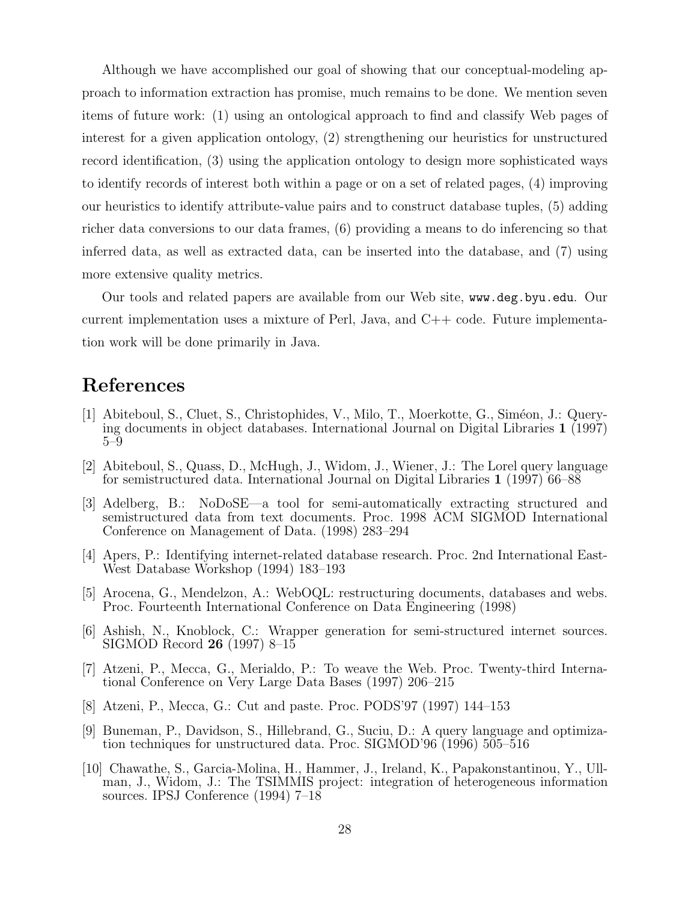Although we have accomplished our goal of showing that our conceptual-modeling approach to information extraction has promise, much remains to be done. We mention seven items of future work: (1) using an ontological approach to find and classify Web pages of interest for a given application ontology, (2) strengthening our heuristics for unstructured record identification, (3) using the application ontology to design more sophisticated ways to identify records of interest both within a page or on a set of related pages, (4) improving our heuristics to identify attribute-value pairs and to construct database tuples, (5) adding richer data conversions to our data frames, (6) providing a means to do inferencing so that inferred data, as well as extracted data, can be inserted into the database, and (7) using more extensive quality metrics.

Our tools and related papers are available from our Web site, www.deg.byu.edu. Our current implementation uses a mixture of Perl, Java, and C++ code. Future implementation work will be done primarily in Java.

### **References**

- [1] Abiteboul, S., Cluet, S., Christophides, V., Milo, T., Moerkotte, G., Siméon, J.: Querying documents in object databases. International Journal on Digital Libraries **1** (1997) 5–9
- [2] Abiteboul, S., Quass, D., McHugh, J., Widom, J., Wiener, J.: The Lorel query language for semistructured data. International Journal on Digital Libraries **1** (1997) 66–88
- [3] Adelberg, B.: NoDoSE—a tool for semi-automatically extracting structured and semistructured data from text documents. Proc. 1998 ACM SIGMOD International Conference on Management of Data. (1998) 283–294
- [4] Apers, P.: Identifying internet-related database research. Proc. 2nd International East- West Database Workshop (1994) 183–193
- [5] Arocena, G., Mendelzon, A.: WebOQL: restructuring documents, databases and webs. Proc. Fourteenth International Conference on Data Engineering (1998)
- [6] Ashish, N., Knoblock, C.: Wrapper generation for semi-structured internet sources. SIGMOD Record **26** (1997) 8–15
- [7] Atzeni, P., Mecca, G., Merialdo, P.: To weave the Web. Proc. Twenty-third Interna- tional Conference on Very Large Data Bases (1997) 206–215
- [8] Atzeni, P., Mecca, G.: Cut and paste. Proc. PODS'97 (1997) 144–153
- [9] Buneman, P., Davidson, S., Hillebrand, G., Suciu, D.: A query language and optimization techniques for unstructured data. Proc. SIGMOD'96 (1996) 505–516
- [10] Chawathe, S., Garcia-Molina, H., Hammer, J., Ireland, K., Papakonstantinou, Y., Ullman, J., Widom, J.: The TSIMMIS project: integration of heterogeneous information sources. IPSJ Conference (1994) 7–18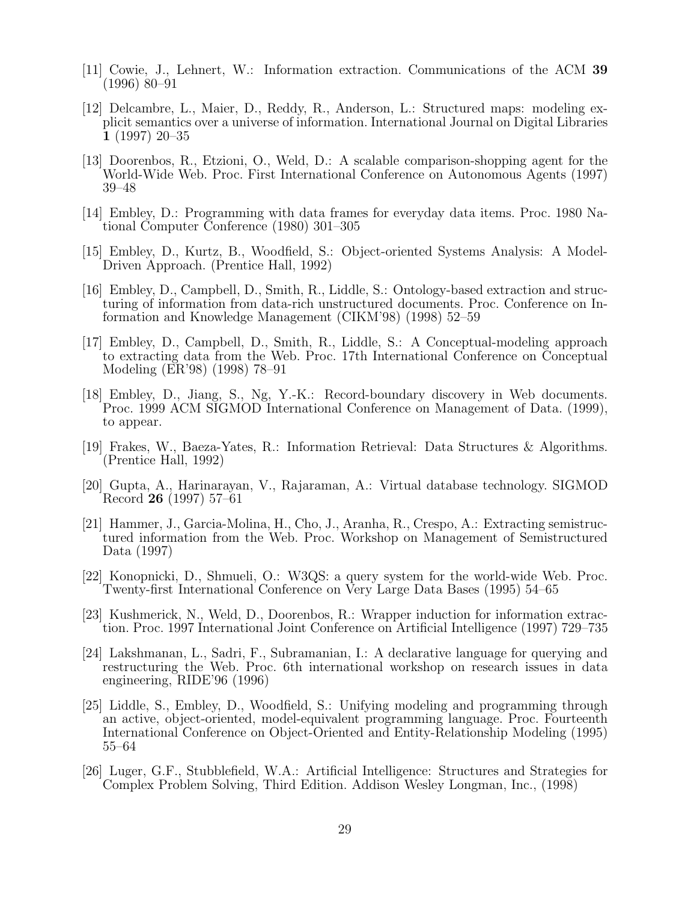- [11] Cowie, J., Lehnert, W.: Information extraction. Communications of the ACM **39** (1996) 80–91
- [12] Delcambre, L., Maier, D., Reddy, R., Anderson, L.: Structured maps: modeling explicit semantics over a universe of information. International Journal on Digital Libraries **1** (1997) 20–35
- [13] Doorenbos, R., Etzioni, O., Weld, D.: A scalable comparison-shopping agent for the World-Wide Web. Proc. First International Conference on Autonomous Agents (1997) 39–48
- [14] Embley, D.: Programming with data frames for everyday data items. Proc. 1980 Na- tional ComputerConference (1980) 301–305
- [15] Embley, D., Kurtz, B., Woodfield, S.: Object-oriented Systems Analysis: A Model-Driven Approach. (Prentice Hall, 1992)
- [16] Embley, D., Campbell, D., Smith, R., Liddle, S.: Ontology-based extraction and structuring of information from data-rich unstructured documents. Proc. Conference on Information and Knowledge Management (CIKM'98) (1998) 52–59
- [17] Embley, D., Campbell, D., Smith, R., Liddle, S.: A Conceptual-modeling approach to extracting data from the Web. Proc. 17th International Conference on Conceptual Modeling (ER'98) (1998) 78–91
- [18] Embley, D., Jiang, S., Ng, Y.-K.: Record-boundary discovery in Web documents. Proc. 1999 ACM SIGMOD International Conference on Management of Data. (1999), to appear.
- [19] Frakes, W., Baeza-Yates, R.: Information Retrieval: Data Structures & Algorithms. (Prentice Hall, 1992)
- [20] Gupta, A., Harinarayan, V., Rajaraman, A.: Virtual database technology. SIGMOD Record **26** (1997) 57–61
- [21] Hammer, J., Garcia-Molina, H., Cho, J., Aranha, R., Crespo, A.: Extracting semistructured information from the Web. Proc. Workshop on Management of Semistructured Data (1997)
- [22] Konopnicki, D., Shmueli, O.: W3QS: a query system for the world-wide Web. Proc. Twenty-first International Conference on Very Large Data Bases (1995) 54–65
- [23] Kushmerick, N., Weld, D., Doorenbos, R.: Wrapper induction for information extrac- tion. Proc. 1997 International Joint Conference on Artificial Intelligence (1997) 729–735
- [24] Lakshmanan, L., Sadri, F., Subramanian, I.: A declarative language for querying and restructuring the Web. Proc. 6th international workshop on research issues in data engineering, RIDE'96 (1996)
- [25] Liddle, S., Embley, D., Woodfield, S.: Unifying modeling and programming through an active, object-oriented, model-equivalent programming language. Proc. Fourteenth International Conference on Object-Oriented and Entity-Relationship Modeling (1995) 55–64
- [26] Luger, G.F., Stubblefield, W.A.: Artificial Intelligence: Structures and Strategies for Complex Problem Solving, Third Edition. Addison Wesley Longman, Inc., (1998)